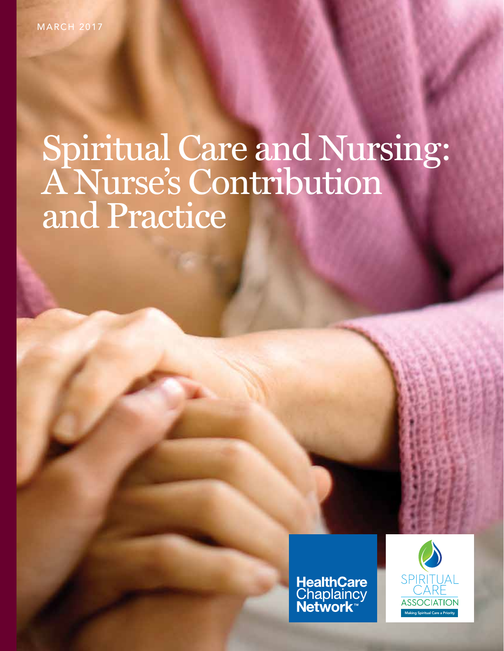# Spiritual Care and Nursing: A Nurse's Contribution and Practice



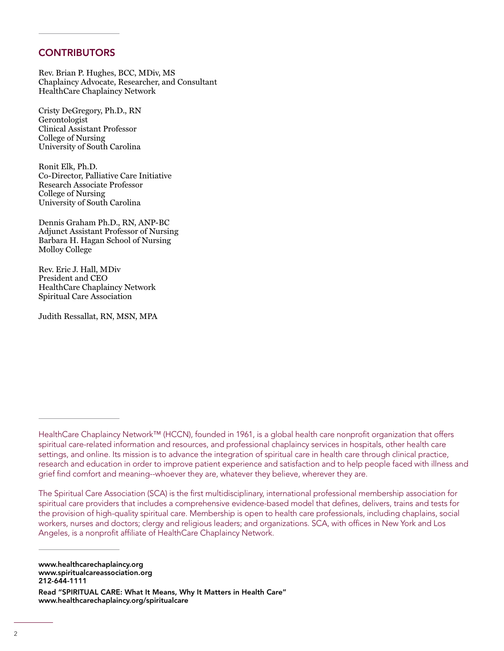## **CONTRIBUTORS**

Rev. Brian P. Hughes, BCC, MDiv, MS Chaplaincy Advocate, Researcher, and Consultant HealthCare Chaplaincy Network

Cristy DeGregory, Ph.D., RN Gerontologist Clinical Assistant Professor College of Nursing University of South Carolina

Ronit Elk, Ph.D. Co-Director, Palliative Care Initiative Research Associate Professor College of Nursing University of South Carolina

Dennis Graham Ph.D., RN, ANP-BC Adjunct Assistant Professor of Nursing Barbara H. Hagan School of Nursing Molloy College

Rev. Eric J. Hall, MDiv President and CEO HealthCare Chaplaincy Network Spiritual Care Association

Judith Ressallat, RN, MSN, MPA

The Spiritual Care Association (SCA) is the first multidisciplinary, international professional membership association for spiritual care providers that includes a comprehensive evidence-based model that defines, delivers, trains and tests for the provision of high-quality spiritual care. Membership is open to health care professionals, including chaplains, social workers, nurses and doctors; clergy and religious leaders; and organizations. SCA, with offices in New York and Los Angeles, is a nonprofit affiliate of HealthCare Chaplaincy Network.

www.healthcarechaplaincy.org www.spiritualcareassociation.org 212-644-1111

Read "SPIRITUAL CARE: What It Means, Why It Matters in Health Care" www.healthcarechaplaincy.org/spiritualcare

HealthCare Chaplaincy Network™ (HCCN), founded in 1961, is a global health care nonprofit organization that offers spiritual care-related information and resources, and professional chaplaincy services in hospitals, other health care settings, and online. Its mission is to advance the integration of spiritual care in health care through clinical practice, research and education in order to improve patient experience and satisfaction and to help people faced with illness and grief find comfort and meaning--whoever they are, whatever they believe, wherever they are.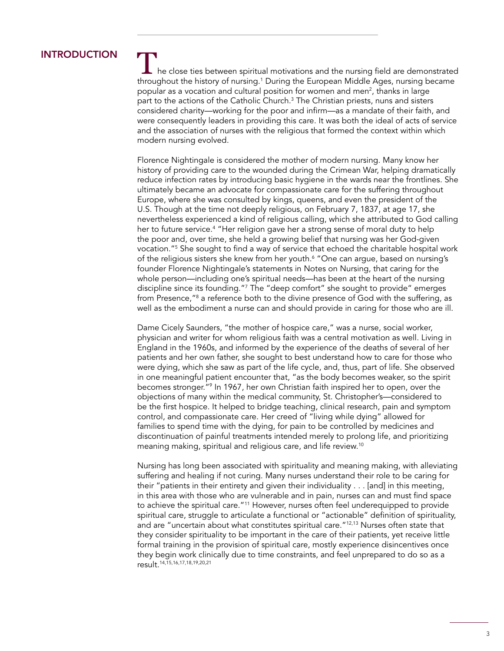INTRODUCTION<br> **Example 20** he close ties between spiritual motivations and the nursing field are demonstrated throughout the history of nursing.<sup>1</sup> During the European Middle Ages, nursing became popular as a vocation and cultural position for women and men<sup>2</sup>, thanks in large part to the actions of the Catholic Church.3 The Christian priests, nuns and sisters considered charity—working for the poor and infirm—as a mandate of their faith, and were consequently leaders in providing this care. It was both the ideal of acts of service and the association of nurses with the religious that formed the context within which modern nursing evolved.

> Florence Nightingale is considered the mother of modern nursing. Many know her history of providing care to the wounded during the Crimean War, helping dramatically reduce infection rates by introducing basic hygiene in the wards near the frontlines. She ultimately became an advocate for compassionate care for the suffering throughout Europe, where she was consulted by kings, queens, and even the president of the U.S. Though at the time not deeply religious, on February 7, 1837, at age 17, she nevertheless experienced a kind of religious calling, which she attributed to God calling her to future service.<sup>4</sup> "Her religion gave her a strong sense of moral duty to help the poor and, over time, she held a growing belief that nursing was her God-given vocation."5 She sought to find a way of service that echoed the charitable hospital work of the religious sisters she knew from her youth.<sup>6</sup> "One can argue, based on nursing's founder Florence Nightingale's statements in Notes on Nursing, that caring for the whole person—including one's spiritual needs—has been at the heart of the nursing discipline since its founding."7 The "deep comfort" she sought to provide" emerges from Presence,"<sup>8</sup> a reference both to the divine presence of God with the suffering, as well as the embodiment a nurse can and should provide in caring for those who are ill.

Dame Cicely Saunders, "the mother of hospice care," was a nurse, social worker, physician and writer for whom religious faith was a central motivation as well. Living in England in the 1960s, and informed by the experience of the deaths of several of her patients and her own father, she sought to best understand how to care for those who were dying, which she saw as part of the life cycle, and, thus, part of life. She observed in one meaningful patient encounter that, "as the body becomes weaker, so the spirit becomes stronger."9 In 1967, her own Christian faith inspired her to open, over the objections of many within the medical community, St. Christopher's—considered to be the first hospice. It helped to bridge teaching, clinical research, pain and symptom control, and compassionate care. Her creed of "living while dying" allowed for families to spend time with the dying, for pain to be controlled by medicines and discontinuation of painful treatments intended merely to prolong life, and prioritizing meaning making, spiritual and religious care, and life review.10

Nursing has long been associated with spirituality and meaning making, with alleviating suffering and healing if not curing. Many nurses understand their role to be caring for their "patients in their entirety and given their individuality . . . [and] in this meeting, in this area with those who are vulnerable and in pain, nurses can and must find space to achieve the spiritual care."11 However, nurses often feel underequipped to provide spiritual care, struggle to articulate a functional or "actionable" definition of spirituality, and are "uncertain about what constitutes spiritual care."<sup>12,13</sup> Nurses often state that they consider spirituality to be important in the care of their patients, yet receive little formal training in the provision of spiritual care, mostly experience disincentives once they begin work clinically due to time constraints, and feel unprepared to do so as a result.14,15,16,17,18,19,20,21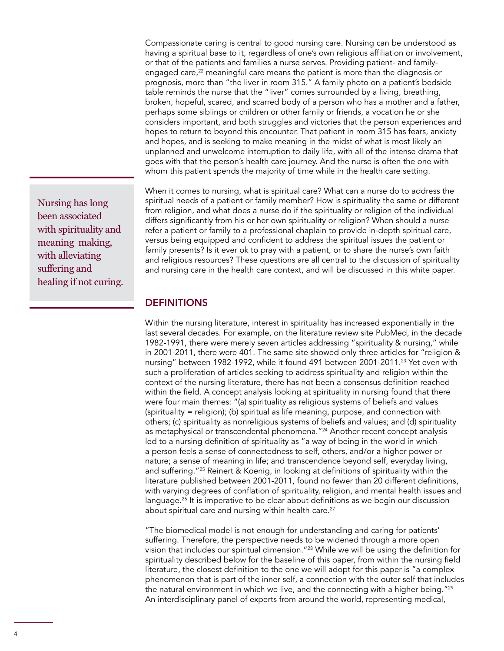Compassionate caring is central to good nursing care. Nursing can be understood as having a spiritual base to it, regardless of one's own religious affiliation or involvement, or that of the patients and families a nurse serves. Providing patient- and familyengaged care,<sup>22</sup> meaningful care means the patient is more than the diagnosis or prognosis, more than "the liver in room 315." A family photo on a patient's bedside table reminds the nurse that the "liver" comes surrounded by a living, breathing, broken, hopeful, scared, and scarred body of a person who has a mother and a father, perhaps some siblings or children or other family or friends, a vocation he or she considers important, and both struggles and victories that the person experiences and hopes to return to beyond this encounter. That patient in room 315 has fears, anxiety and hopes, and is seeking to make meaning in the midst of what is most likely an unplanned and unwelcome interruption to daily life, with all of the intense drama that goes with that the person's health care journey. And the nurse is often the one with whom this patient spends the majority of time while in the health care setting.

When it comes to nursing, what is spiritual care? What can a nurse do to address the spiritual needs of a patient or family member? How is spirituality the same or different from religion, and what does a nurse do if the spirituality or religion of the individual differs significantly from his or her own spirituality or religion? When should a nurse refer a patient or family to a professional chaplain to provide in-depth spiritual care, versus being equipped and confident to address the spiritual issues the patient or family presents? Is it ever ok to pray with a patient, or to share the nurse's own faith and religious resources? These questions are all central to the discussion of spirituality and nursing care in the health care context, and will be discussed in this white paper.

## **DEFINITIONS**

Within the nursing literature, interest in spirituality has increased exponentially in the last several decades. For example, on the literature review site PubMed, in the decade 1982-1991, there were merely seven articles addressing "spirituality & nursing," while in 2001-2011, there were 401. The same site showed only three articles for "religion & nursing" between 1982-1992, while it found 491 between 2001-2011.23 Yet even with such a proliferation of articles seeking to address spirituality and religion within the context of the nursing literature, there has not been a consensus definition reached within the field. A concept analysis looking at spirituality in nursing found that there were four main themes: "(a) spirituality as religious systems of beliefs and values (spirituality = religion); (b) spiritual as life meaning, purpose, and connection with others; (c) spirituality as nonreligious systems of beliefs and values; and (d) spirituality as metaphysical or transcendental phenomena."<sup>24</sup> Another recent concept analysis led to a nursing definition of spirituality as "a way of being in the world in which a person feels a sense of connectedness to self, others, and/or a higher power or nature; a sense of meaning in life; and transcendence beyond self, everyday living, and suffering."25 Reinert & Koenig, in looking at definitions of spirituality within the literature published between 2001-2011, found no fewer than 20 different definitions, with varying degrees of conflation of spirituality, religion, and mental health issues and language.<sup>26</sup> It is imperative to be clear about definitions as we begin our discussion about spiritual care and nursing within health care.<sup>27</sup>

"The biomedical model is not enough for understanding and caring for patients' suffering. Therefore, the perspective needs to be widened through a more open vision that includes our spiritual dimension."28 While we will be using the definition for spirituality described below for the baseline of this paper, from within the nursing field literature, the closest definition to the one we will adopt for this paper is "a complex phenomenon that is part of the inner self, a connection with the outer self that includes the natural environment in which we live, and the connecting with a higher being."<sup>29</sup> An interdisciplinary panel of experts from around the world, representing medical,

Nursing has long been associated with spirituality and meaning making, with alleviating suffering and healing if not curing.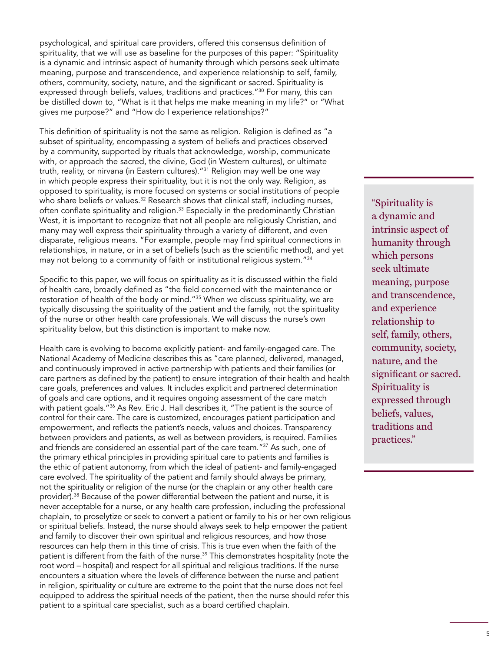psychological, and spiritual care providers, offered this consensus definition of spirituality, that we will use as baseline for the purposes of this paper: "Spirituality is a dynamic and intrinsic aspect of humanity through which persons seek ultimate meaning, purpose and transcendence, and experience relationship to self, family, others, community, society, nature, and the significant or sacred. Spirituality is expressed through beliefs, values, traditions and practices."<sup>30</sup> For many, this can be distilled down to, "What is it that helps me make meaning in my life?" or "What gives me purpose?" and "How do I experience relationships?"

This definition of spirituality is not the same as religion. Religion is defined as "a subset of spirituality, encompassing a system of beliefs and practices observed by a community, supported by rituals that acknowledge, worship, communicate with, or approach the sacred, the divine, God (in Western cultures), or ultimate truth, reality, or nirvana (in Eastern cultures).<sup>"31</sup> Religion may well be one way in which people express their spirituality, but it is not the only way. Religion, as opposed to spirituality, is more focused on systems or social institutions of people who share beliefs or values.<sup>32</sup> Research shows that clinical staff, including nurses, often conflate spirituality and religion.<sup>33</sup> Especially in the predominantly Christian West, it is important to recognize that not all people are religiously Christian, and many may well express their spirituality through a variety of different, and even disparate, religious means. "For example, people may find spiritual connections in relationships, in nature, or in a set of beliefs (such as the scientific method), and yet may not belong to a community of faith or institutional religious system."34

Specific to this paper, we will focus on spirituality as it is discussed within the field of health care, broadly defined as "the field concerned with the maintenance or restoration of health of the body or mind."<sup>35</sup> When we discuss spirituality, we are typically discussing the spirituality of the patient and the family, not the spirituality of the nurse or other health care professionals. We will discuss the nurse's own spirituality below, but this distinction is important to make now.

Health care is evolving to become explicitly patient- and family-engaged care. The National Academy of Medicine describes this as "care planned, delivered, managed, and continuously improved in active partnership with patients and their families (or care partners as defined by the patient) to ensure integration of their health and health care goals, preferences and values. It includes explicit and partnered determination of goals and care options, and it requires ongoing assessment of the care match with patient goals."<sup>36</sup> As Rev. Eric J. Hall describes it, "The patient is the source of control for their care. The care is customized, encourages patient participation and empowerment, and reflects the patient's needs, values and choices. Transparency between providers and patients, as well as between providers, is required. Families and friends are considered an essential part of the care team."<sup>37</sup> As such, one of the primary ethical principles in providing spiritual care to patients and families is the ethic of patient autonomy, from which the ideal of patient- and family-engaged care evolved. The spirituality of the patient and family should always be primary, not the spirituality or religion of the nurse (or the chaplain or any other health care provider).38 Because of the power differential between the patient and nurse, it is never acceptable for a nurse, or any health care profession, including the professional chaplain, to proselytize or seek to convert a patient or family to his or her own religious or spiritual beliefs. Instead, the nurse should always seek to help empower the patient and family to discover their own spiritual and religious resources, and how those resources can help them in this time of crisis. This is true even when the faith of the patient is different from the faith of the nurse.<sup>39</sup> This demonstrates hospitality (note the root word – hospital) and respect for all spiritual and religious traditions. If the nurse encounters a situation where the levels of difference between the nurse and patient in religion, spirituality or culture are extreme to the point that the nurse does not feel equipped to address the spiritual needs of the patient, then the nurse should refer this patient to a spiritual care specialist, such as a board certified chaplain.

"Spirituality is a dynamic and intrinsic aspect of humanity through which persons seek ultimate meaning, purpose and transcendence, and experience relationship to self, family, others, community, society, nature, and the significant or sacred. Spirituality is expressed through beliefs, values, traditions and practices."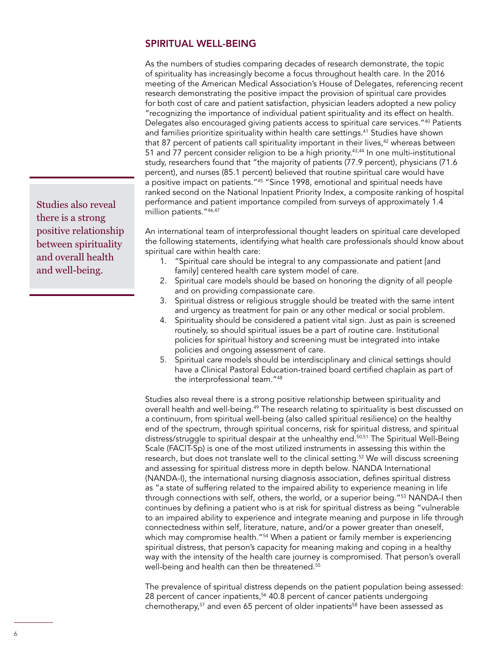## SPIRITUAL WELL-BEING

As the numbers of studies comparing decades of research demonstrate, the topic of spirituality has increasingly become a focus throughout health care. In the 2016 meeting of the American Medical Association's House of Delegates, referencing recent research demonstrating the positive impact the provision of spiritual care provides for both cost of care and patient satisfaction, physician leaders adopted a new policy "recognizing the importance of individual patient spirituality and its effect on health. Delegates also encouraged giving patients access to spiritual care services."40 Patients and families prioritize spirituality within health care settings.<sup>41</sup> Studies have shown that 87 percent of patients call spirituality important in their lives,<sup>42</sup> whereas between 51 and 77 percent consider religion to be a high priority.43,44 In one multi-institutional study, researchers found that "the majority of patients (77.9 percent), physicians (71.6 percent), and nurses (85.1 percent) believed that routine spiritual care would have a positive impact on patients."45 "Since 1998, emotional and spiritual needs have ranked second on the National Inpatient Priority Index, a composite ranking of hospital performance and patient importance compiled from surveys of approximately 1.4 million patients."46,47

An international team of interprofessional thought leaders on spiritual care developed the following statements, identifying what health care professionals should know about spiritual care within health care:

- 1. "Spiritual care should be integral to any compassionate and patient [and family] centered health care system model of care.
- 2. Spiritual care models should be based on honoring the dignity of all people and on providing compassionate care.
- 3. Spiritual distress or religious struggle should be treated with the same intent and urgency as treatment for pain or any other medical or social problem.
- 4. Spirituality should be considered a patient vital sign. Just as pain is screened routinely, so should spiritual issues be a part of routine care. Institutional policies for spiritual history and screening must be integrated into intake policies and ongoing assessment of care.
- 5. Spiritual care models should be interdisciplinary and clinical settings should have a Clinical Pastoral Education-trained board certified chaplain as part of the interprofessional team."48

Studies also reveal there is a strong positive relationship between spirituality and overall health and well-being.49 The research relating to spirituality is best discussed on a continuum, from spiritual well-being (also called spiritual resilience) on the healthy end of the spectrum, through spiritual concerns, risk for spiritual distress, and spiritual distress/struggle to spiritual despair at the unhealthy end.50,51 The Spiritual Well-Being Scale (FACIT-Sp) is one of the most utilized instruments in assessing this within the research, but does not translate well to the clinical setting.52 We will discuss screening and assessing for spiritual distress more in depth below. NANDA International (NANDA-I), the international nursing diagnosis association, defines spiritual distress as "a state of suffering related to the impaired ability to experience meaning in life through connections with self, others, the world, or a superior being."53 NANDA-I then continues by defining a patient who is at risk for spiritual distress as being "vulnerable to an impaired ability to experience and integrate meaning and purpose in life through connectedness within self, literature, nature, and/or a power greater than oneself, which may compromise health."<sup>54</sup> When a patient or family member is experiencing spiritual distress, that person's capacity for meaning making and coping in a healthy way with the intensity of the health care journey is compromised. That person's overall well-being and health can then be threatened.<sup>55</sup>

The prevalence of spiritual distress depends on the patient population being assessed: 28 percent of cancer inpatients,<sup>56</sup> 40.8 percent of cancer patients undergoing chemotherapy,<sup>57</sup> and even 65 percent of older inpatients<sup>58</sup> have been assessed as

Studies also reveal there is a strong positive relationship between spirituality and overall health and well-being.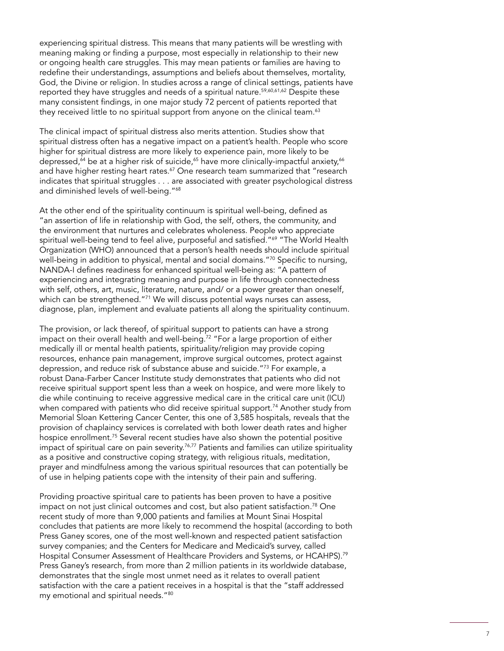experiencing spiritual distress. This means that many patients will be wrestling with meaning making or finding a purpose, most especially in relationship to their new or ongoing health care struggles. This may mean patients or families are having to redefine their understandings, assumptions and beliefs about themselves, mortality, God, the Divine or religion. In studies across a range of clinical settings, patients have reported they have struggles and needs of a spiritual nature.<sup>59,60,61,62</sup> Despite these many consistent findings, in one major study 72 percent of patients reported that they received little to no spiritual support from anyone on the clinical team.<sup>63</sup>

The clinical impact of spiritual distress also merits attention. Studies show that spiritual distress often has a negative impact on a patient's health. People who score higher for spiritual distress are more likely to experience pain, more likely to be depressed,<sup>64</sup> be at a higher risk of suicide,<sup>65</sup> have more clinically-impactful anxiety,<sup>66</sup> and have higher resting heart rates.<sup>67</sup> One research team summarized that "research indicates that spiritual struggles . . . are associated with greater psychological distress and diminished levels of well-being."<sup>68</sup>

At the other end of the spirituality continuum is spiritual well-being, defined as "an assertion of life in relationship with God, the self, others, the community, and the environment that nurtures and celebrates wholeness. People who appreciate spiritual well-being tend to feel alive, purposeful and satisfied."<sup>69</sup> "The World Health Organization (WHO) announced that a person's health needs should include spiritual well-being in addition to physical, mental and social domains."<sup>70</sup> Specific to nursing, NANDA-I defines readiness for enhanced spiritual well-being as: "A pattern of experiencing and integrating meaning and purpose in life through connectedness with self, others, art, music, literature, nature, and/ or a power greater than oneself, which can be strengthened."<sup>71</sup> We will discuss potential ways nurses can assess, diagnose, plan, implement and evaluate patients all along the spirituality continuum.

The provision, or lack thereof, of spiritual support to patients can have a strong impact on their overall health and well-being.<sup>72</sup> "For a large proportion of either medically ill or mental health patients, spirituality/religion may provide coping resources, enhance pain management, improve surgical outcomes, protect against depression, and reduce risk of substance abuse and suicide."73 For example, a robust Dana-Farber Cancer Institute study demonstrates that patients who did not receive spiritual support spent less than a week on hospice, and were more likely to die while continuing to receive aggressive medical care in the critical care unit (ICU) when compared with patients who did receive spiritual support.<sup>74</sup> Another study from Memorial Sloan Kettering Cancer Center, this one of 3,585 hospitals, reveals that the provision of chaplaincy services is correlated with both lower death rates and higher hospice enrollment.<sup>75</sup> Several recent studies have also shown the potential positive impact of spiritual care on pain severity.<sup>76,77</sup> Patients and families can utilize spirituality as a positive and constructive coping strategy, with religious rituals, meditation, prayer and mindfulness among the various spiritual resources that can potentially be of use in helping patients cope with the intensity of their pain and suffering.

Providing proactive spiritual care to patients has been proven to have a positive impact on not just clinical outcomes and cost, but also patient satisfaction.<sup>78</sup> One recent study of more than 9,000 patients and families at Mount Sinai Hospital concludes that patients are more likely to recommend the hospital (according to both Press Ganey scores, one of the most well-known and respected patient satisfaction survey companies; and the Centers for Medicare and Medicaid's survey, called Hospital Consumer Assessment of Healthcare Providers and Systems, or HCAHPS).79 Press Ganey's research, from more than 2 million patients in its worldwide database, demonstrates that the single most unmet need as it relates to overall patient satisfaction with the care a patient receives in a hospital is that the "staff addressed my emotional and spiritual needs."80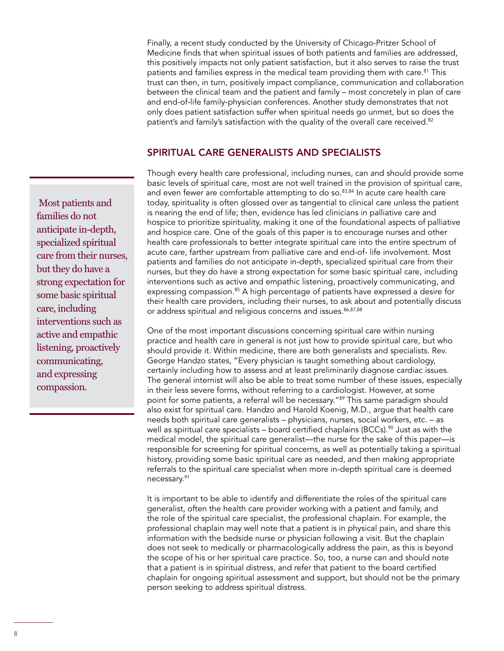Finally, a recent study conducted by the University of Chicago-Pritzer School of Medicine finds that when spiritual issues of both patients and families are addressed, this positively impacts not only patient satisfaction, but it also serves to raise the trust patients and families express in the medical team providing them with care.<sup>81</sup> This trust can then, in turn, positively impact compliance, communication and collaboration between the clinical team and the patient and family – most concretely in plan of care and end-of-life family-physician conferences. Another study demonstrates that not only does patient satisfaction suffer when spiritual needs go unmet, but so does the patient's and family's satisfaction with the quality of the overall care received.<sup>82</sup>

## SPIRITUAL CARE GENERALISTS AND SPECIALISTS

Though every health care professional, including nurses, can and should provide some basic levels of spiritual care, most are not well trained in the provision of spiritual care, and even fewer are comfortable attempting to do so.<sup>83,84</sup> In acute care health care today, spirituality is often glossed over as tangential to clinical care unless the patient is nearing the end of life; then, evidence has led clinicians in palliative care and hospice to prioritize spirituality, making it one of the foundational aspects of palliative and hospice care. One of the goals of this paper is to encourage nurses and other health care professionals to better integrate spiritual care into the entire spectrum of acute care, farther upstream from palliative care and end-of- life involvement. Most patients and families do not anticipate in-depth, specialized spiritual care from their nurses, but they do have a strong expectation for some basic spiritual care, including interventions such as active and empathic listening, proactively communicating, and expressing compassion.<sup>85</sup> A high percentage of patients have expressed a desire for their health care providers, including their nurses, to ask about and potentially discuss or address spiritual and religious concerns and issues.<sup>86,87,88</sup>

One of the most important discussions concerning spiritual care within nursing practice and health care in general is not just how to provide spiritual care, but who should provide it. Within medicine, there are both generalists and specialists. Rev. George Handzo states, "Every physician is taught something about cardiology, certainly including how to assess and at least preliminarily diagnose cardiac issues. The general internist will also be able to treat some number of these issues, especially in their less severe forms, without referring to a cardiologist. However, at some point for some patients, a referral will be necessary."<sup>89</sup> This same paradigm should also exist for spiritual care. Handzo and Harold Koenig, M.D., argue that health care needs both spiritual care generalists – physicians, nurses, social workers, etc. – as well as spiritual care specialists – board certified chaplains (BCCs).<sup>90</sup> Just as with the medical model, the spiritual care generalist—the nurse for the sake of this paper—is responsible for screening for spiritual concerns, as well as potentially taking a spiritual history, providing some basic spiritual care as needed, and then making appropriate referrals to the spiritual care specialist when more in-depth spiritual care is deemed necessary.<sup>91</sup>

It is important to be able to identify and differentiate the roles of the spiritual care generalist, often the health care provider working with a patient and family, and the role of the spiritual care specialist, the professional chaplain. For example, the professional chaplain may well note that a patient is in physical pain, and share this information with the bedside nurse or physician following a visit. But the chaplain does not seek to medically or pharmacologically address the pain, as this is beyond the scope of his or her spiritual care practice. So, too, a nurse can and should note that a patient is in spiritual distress, and refer that patient to the board certified chaplain for ongoing spiritual assessment and support, but should not be the primary person seeking to address spiritual distress.

Most patients and families do not anticipate in-depth, specialized spiritual care from their nurses, but they do have a strong expectation for some basic spiritual care, including interventions such as active and empathic listening, proactively communicating, and expressing compassion.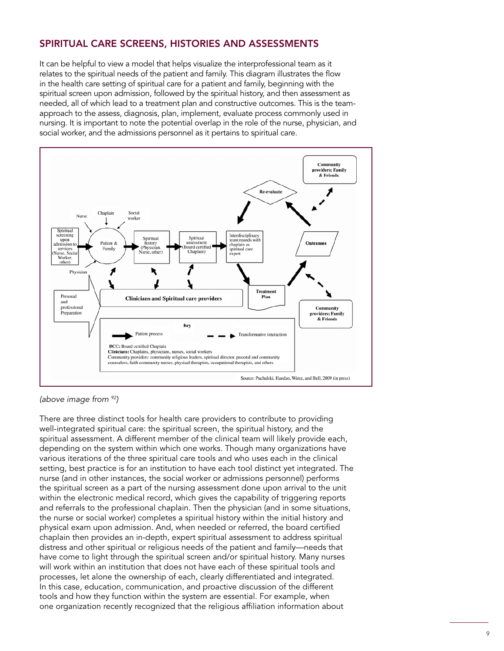## SPIRITUAL CARE SCREENS, HISTORIES AND ASSESSMENTS

It can be helpful to view a model that helps visualize the interprofessional team as it relates to the spiritual needs of the patient and family. This diagram illustrates the flow in the health care setting of spiritual care for a patient and family, beginning with the spiritual screen upon admission, followed by the spiritual history, and then assessment as needed, all of which lead to a treatment plan and constructive outcomes. This is the teamapproach to the assess, diagnosis, plan, implement, evaluate process commonly used in nursing. It is important to note the potential overlap in the role of the nurse, physician, and social worker, and the admissions personnel as it pertains to spiritual care.



*(above image from 92)*

There are three distinct tools for health care providers to contribute to providing well-integrated spiritual care: the spiritual screen, the spiritual history, and the spiritual assessment. A different member of the clinical team will likely provide each, depending on the system within which one works. Though many organizations have various iterations of the three spiritual care tools and who uses each in the clinical setting, best practice is for an institution to have each tool distinct yet integrated. The nurse (and in other instances, the social worker or admissions personnel) performs the spiritual screen as a part of the nursing assessment done upon arrival to the unit within the electronic medical record, which gives the capability of triggering reports and referrals to the professional chaplain. Then the physician (and in some situations, the nurse or social worker) completes a spiritual history within the initial history and physical exam upon admission. And, when needed or referred, the board certified chaplain then provides an in-depth, expert spiritual assessment to address spiritual distress and other spiritual or religious needs of the patient and family—needs that have come to light through the spiritual screen and/or spiritual history. Many nurses will work within an institution that does not have each of these spiritual tools and processes, let alone the ownership of each, clearly differentiated and integrated. In this case, education, communication, and proactive discussion of the different tools and how they function within the system are essential. For example, when one organization recently recognized that the religious affiliation information about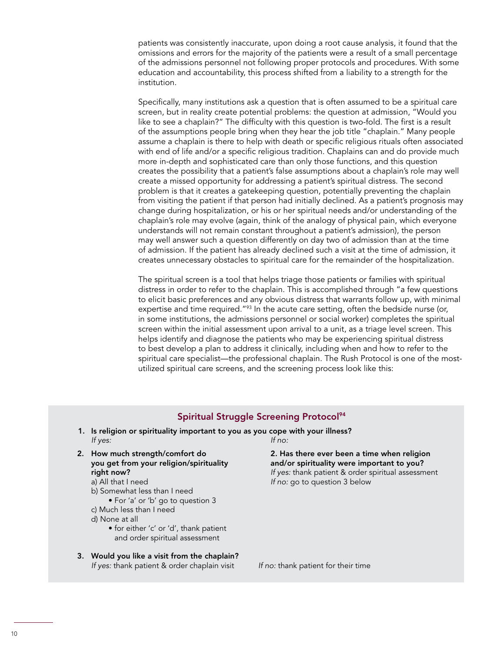patients was consistently inaccurate, upon doing a root cause analysis, it found that the omissions and errors for the majority of the patients were a result of a small percentage of the admissions personnel not following proper protocols and procedures. With some education and accountability, this process shifted from a liability to a strength for the institution.

Specifically, many institutions ask a question that is often assumed to be a spiritual care screen, but in reality create potential problems: the question at admission, "Would you like to see a chaplain?" The difficulty with this question is two-fold. The first is a result of the assumptions people bring when they hear the job title "chaplain." Many people assume a chaplain is there to help with death or specific religious rituals often associated with end of life and/or a specific religious tradition. Chaplains can and do provide much more in-depth and sophisticated care than only those functions, and this question creates the possibility that a patient's false assumptions about a chaplain's role may well create a missed opportunity for addressing a patient's spiritual distress. The second problem is that it creates a gatekeeping question, potentially preventing the chaplain from visiting the patient if that person had initially declined. As a patient's prognosis may change during hospitalization, or his or her spiritual needs and/or understanding of the chaplain's role may evolve (again, think of the analogy of physical pain, which everyone understands will not remain constant throughout a patient's admission), the person may well answer such a question differently on day two of admission than at the time of admission. If the patient has already declined such a visit at the time of admission, it creates unnecessary obstacles to spiritual care for the remainder of the hospitalization.

The spiritual screen is a tool that helps triage those patients or families with spiritual distress in order to refer to the chaplain. This is accomplished through "a few questions to elicit basic preferences and any obvious distress that warrants follow up, with minimal expertise and time required."<sup>93</sup> In the acute care setting, often the bedside nurse (or, in some institutions, the admissions personnel or social worker) completes the spiritual screen within the initial assessment upon arrival to a unit, as a triage level screen. This helps identify and diagnose the patients who may be experiencing spiritual distress to best develop a plan to address it clinically, including when and how to refer to the spiritual care specialist—the professional chaplain. The Rush Protocol is one of the mostutilized spiritual care screens, and the screening process look like this:

## Spiritual Struggle Screening Protocol<sup>94</sup>

- 1. Is religion or spirituality important to you as you cope with your illness? *If yes: If no:*
- 2. How much strength/comfort do 2. Has there ever been a time when religion
	- b) Somewhat less than I need
	- For 'a' or 'b' go to question 3
	- c) Much less than I need
	- d) None at all
		- for either 'c' or 'd', thank patient and order spiritual assessment
- 3. Would you like a visit from the chaplain? *If yes:* thank patient & order chaplain visit *If no:* thank patient for their time

you get from your religion/spirituality and/or spirituality were important to you? right now? *If yes:* thank patient & order spiritual assessment a) All that I need *If no:* go to question 3 below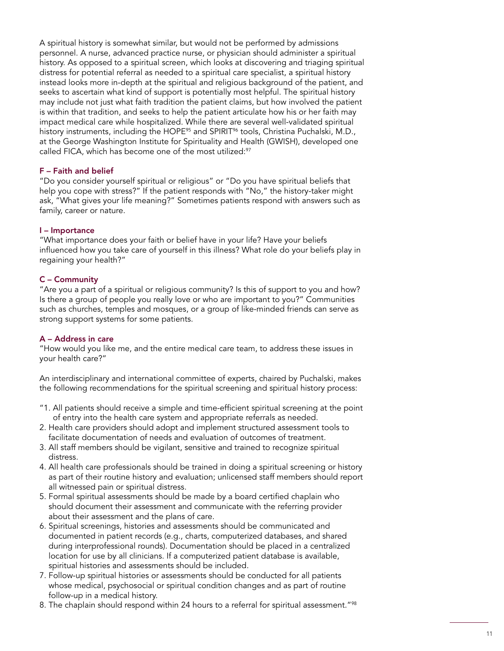A spiritual history is somewhat similar, but would not be performed by admissions personnel. A nurse, advanced practice nurse, or physician should administer a spiritual history. As opposed to a spiritual screen, which looks at discovering and triaging spiritual distress for potential referral as needed to a spiritual care specialist, a spiritual history instead looks more in-depth at the spiritual and religious background of the patient, and seeks to ascertain what kind of support is potentially most helpful. The spiritual history may include not just what faith tradition the patient claims, but how involved the patient is within that tradition, and seeks to help the patient articulate how his or her faith may impact medical care while hospitalized. While there are several well-validated spiritual history instruments, including the HOPE<sup>95</sup> and SPIRIT<sup>96</sup> tools, Christina Puchalski, M.D., at the George Washington Institute for Spirituality and Health (GWISH), developed one called FICA, which has become one of the most utilized:<sup>97</sup>

#### F – Faith and belief

"Do you consider yourself spiritual or religious" or "Do you have spiritual beliefs that help you cope with stress?" If the patient responds with "No," the history-taker might ask, "What gives your life meaning?" Sometimes patients respond with answers such as family, career or nature.

#### I – Importance

"What importance does your faith or belief have in your life? Have your beliefs influenced how you take care of yourself in this illness? What role do your beliefs play in regaining your health?"

#### C – Community

"Are you a part of a spiritual or religious community? Is this of support to you and how? Is there a group of people you really love or who are important to you?" Communities such as churches, temples and mosques, or a group of like-minded friends can serve as strong support systems for some patients.

#### A – Address in care

"How would you like me, and the entire medical care team, to address these issues in your health care?"

An interdisciplinary and international committee of experts, chaired by Puchalski, makes the following recommendations for the spiritual screening and spiritual history process:

- "1. All patients should receive a simple and time-efficient spiritual screening at the point of entry into the health care system and appropriate referrals as needed.
- 2. Health care providers should adopt and implement structured assessment tools to facilitate documentation of needs and evaluation of outcomes of treatment.
- 3. All staff members should be vigilant, sensitive and trained to recognize spiritual distress.
- 4. All health care professionals should be trained in doing a spiritual screening or history as part of their routine history and evaluation; unlicensed staff members should report all witnessed pain or spiritual distress.
- 5. Formal spiritual assessments should be made by a board certified chaplain who should document their assessment and communicate with the referring provider about their assessment and the plans of care.
- 6. Spiritual screenings, histories and assessments should be communicated and documented in patient records (e.g., charts, computerized databases, and shared during interprofessional rounds). Documentation should be placed in a centralized location for use by all clinicians. If a computerized patient database is available, spiritual histories and assessments should be included.
- 7. Follow-up spiritual histories or assessments should be conducted for all patients whose medical, psychosocial or spiritual condition changes and as part of routine follow-up in a medical history.
- 8. The chaplain should respond within 24 hours to a referral for spiritual assessment."<sup>98</sup>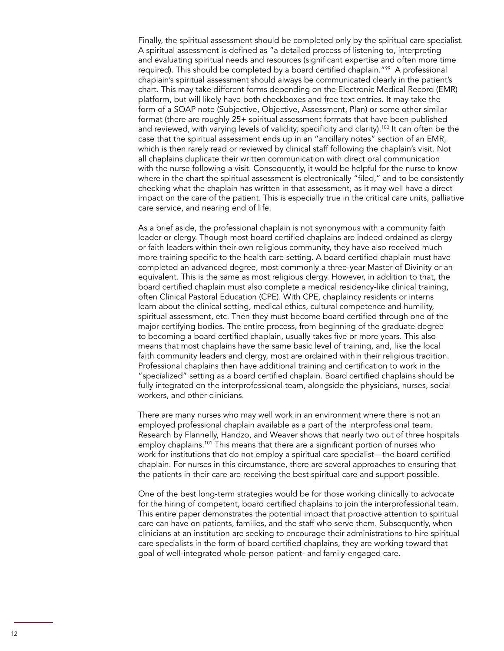Finally, the spiritual assessment should be completed only by the spiritual care specialist. A spiritual assessment is defined as "a detailed process of listening to, interpreting and evaluating spiritual needs and resources (significant expertise and often more time required). This should be completed by a board certified chaplain."<sup>99</sup> A professional chaplain's spiritual assessment should always be communicated clearly in the patient's chart. This may take different forms depending on the Electronic Medical Record (EMR) platform, but will likely have both checkboxes and free text entries. It may take the form of a SOAP note (Subjective, Objective, Assessment, Plan) or some other similar format (there are roughly 25+ spiritual assessment formats that have been published and reviewed, with varying levels of validity, specificity and clarity).<sup>100</sup> It can often be the case that the spiritual assessment ends up in an "ancillary notes" section of an EMR, which is then rarely read or reviewed by clinical staff following the chaplain's visit. Not all chaplains duplicate their written communication with direct oral communication with the nurse following a visit. Consequently, it would be helpful for the nurse to know where in the chart the spiritual assessment is electronically "filed," and to be consistently checking what the chaplain has written in that assessment, as it may well have a direct impact on the care of the patient. This is especially true in the critical care units, palliative care service, and nearing end of life.

As a brief aside, the professional chaplain is not synonymous with a community faith leader or clergy. Though most board certified chaplains are indeed ordained as clergy or faith leaders within their own religious community, they have also received much more training specific to the health care setting. A board certified chaplain must have completed an advanced degree, most commonly a three-year Master of Divinity or an equivalent. This is the same as most religious clergy. However, in addition to that, the board certified chaplain must also complete a medical residency-like clinical training, often Clinical Pastoral Education (CPE). With CPE, chaplaincy residents or interns learn about the clinical setting, medical ethics, cultural competence and humility, spiritual assessment, etc. Then they must become board certified through one of the major certifying bodies. The entire process, from beginning of the graduate degree to becoming a board certified chaplain, usually takes five or more years. This also means that most chaplains have the same basic level of training, and, like the local faith community leaders and clergy, most are ordained within their religious tradition. Professional chaplains then have additional training and certification to work in the "specialized" setting as a board certified chaplain. Board certified chaplains should be fully integrated on the interprofessional team, alongside the physicians, nurses, social workers, and other clinicians.

There are many nurses who may well work in an environment where there is not an employed professional chaplain available as a part of the interprofessional team. Research by Flannelly, Handzo, and Weaver shows that nearly two out of three hospitals employ chaplains.<sup>101</sup> This means that there are a significant portion of nurses who work for institutions that do not employ a spiritual care specialist—the board certified chaplain. For nurses in this circumstance, there are several approaches to ensuring that the patients in their care are receiving the best spiritual care and support possible.

One of the best long-term strategies would be for those working clinically to advocate for the hiring of competent, board certified chaplains to join the interprofessional team. This entire paper demonstrates the potential impact that proactive attention to spiritual care can have on patients, families, and the staff who serve them. Subsequently, when clinicians at an institution are seeking to encourage their administrations to hire spiritual care specialists in the form of board certified chaplains, they are working toward that goal of well-integrated whole-person patient- and family-engaged care.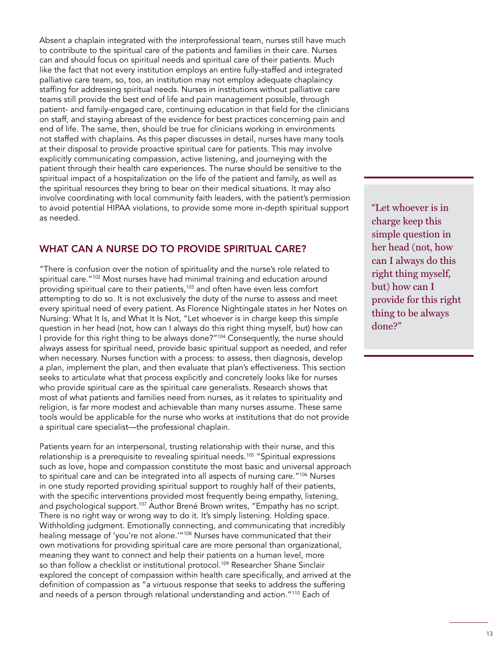Absent a chaplain integrated with the interprofessional team, nurses still have much to contribute to the spiritual care of the patients and families in their care. Nurses can and should focus on spiritual needs and spiritual care of their patients. Much like the fact that not every institution employs an entire fully-staffed and integrated palliative care team, so, too, an institution may not employ adequate chaplaincy staffing for addressing spiritual needs. Nurses in institutions without palliative care teams still provide the best end of life and pain management possible, through patient- and family-engaged care, continuing education in that field for the clinicians on staff, and staying abreast of the evidence for best practices concerning pain and end of life. The same, then, should be true for clinicians working in environments not staffed with chaplains. As this paper discusses in detail, nurses have many tools at their disposal to provide proactive spiritual care for patients. This may involve explicitly communicating compassion, active listening, and journeying with the patient through their health care experiences. The nurse should be sensitive to the spiritual impact of a hospitalization on the life of the patient and family, as well as the spiritual resources they bring to bear on their medical situations. It may also involve coordinating with local community faith leaders, with the patient's permission to avoid potential HIPAA violations, to provide some more in-depth spiritual support as needed.

## WHAT CAN A NURSE DO TO PROVIDE SPIRITUAL CARE?

"There is confusion over the notion of spirituality and the nurse's role related to spiritual care."<sup>102</sup> Most nurses have had minimal training and education around providing spiritual care to their patients,<sup>103</sup> and often have even less comfort attempting to do so. It is not exclusively the duty of the nurse to assess and meet every spiritual need of every patient. As Florence Nightingale states in her Notes on Nursing: What It Is, and What It Is Not, "Let whoever is in charge keep this simple question in her head (not, how can I always do this right thing myself, but) how can I provide for this right thing to be always done?"104 Consequently, the nurse should always assess for spiritual need, provide basic spiritual support as needed, and refer when necessary. Nurses function with a process: to assess, then diagnosis, develop a plan, implement the plan, and then evaluate that plan's effectiveness. This section seeks to articulate what that process explicitly and concretely looks like for nurses who provide spiritual care as the spiritual care generalists. Research shows that most of what patients and families need from nurses, as it relates to spirituality and religion, is far more modest and achievable than many nurses assume. These same tools would be applicable for the nurse who works at institutions that do not provide a spiritual care specialist—the professional chaplain.

Patients yearn for an interpersonal, trusting relationship with their nurse, and this relationship is a prerequisite to revealing spiritual needs.<sup>105</sup> "Spiritual expressions such as love, hope and compassion constitute the most basic and universal approach to spiritual care and can be integrated into all aspects of nursing care."106 Nurses in one study reported providing spiritual support to roughly half of their patients, with the specific interventions provided most frequently being empathy, listening, and psychological support.<sup>107</sup> Author Brené Brown writes, "Empathy has no script. There is no right way or wrong way to do it. It's simply listening. Holding space. Withholding judgment. Emotionally connecting, and communicating that incredibly healing message of 'you're not alone.'"108 Nurses have communicated that their own motivations for providing spiritual care are more personal than organizational, meaning they want to connect and help their patients on a human level, more so than follow a checklist or institutional protocol.<sup>109</sup> Researcher Shane Sinclair explored the concept of compassion within health care specifically, and arrived at the definition of compassion as "a virtuous response that seeks to address the suffering and needs of a person through relational understanding and action."110 Each of

"Let whoever is in charge keep this simple question in her head (not, how can I always do this right thing myself, but) how can I provide for this right thing to be always done?"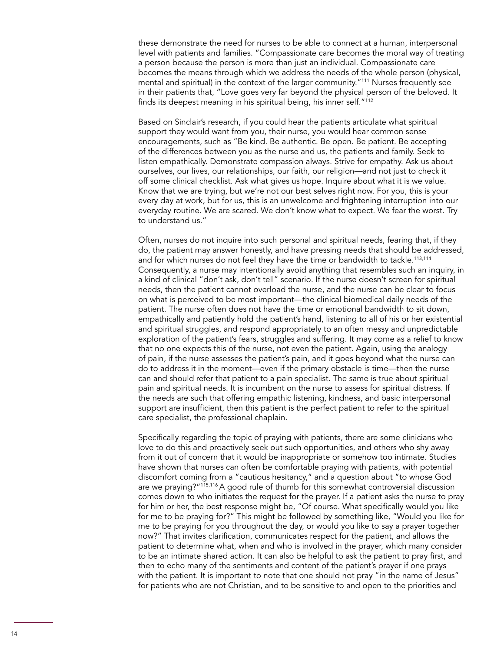these demonstrate the need for nurses to be able to connect at a human, interpersonal level with patients and families. "Compassionate care becomes the moral way of treating a person because the person is more than just an individual. Compassionate care becomes the means through which we address the needs of the whole person (physical, mental and spiritual) in the context of the larger community."111 Nurses frequently see in their patients that, "Love goes very far beyond the physical person of the beloved. It finds its deepest meaning in his spiritual being, his inner self."112

Based on Sinclair's research, if you could hear the patients articulate what spiritual support they would want from you, their nurse, you would hear common sense encouragements, such as "Be kind. Be authentic. Be open. Be patient. Be accepting of the differences between you as the nurse and us, the patients and family. Seek to listen empathically. Demonstrate compassion always. Strive for empathy. Ask us about ourselves, our lives, our relationships, our faith, our religion—and not just to check it off some clinical checklist. Ask what gives us hope. Inquire about what it is we value. Know that we are trying, but we're not our best selves right now. For you, this is your every day at work, but for us, this is an unwelcome and frightening interruption into our everyday routine. We are scared. We don't know what to expect. We fear the worst. Try to understand us."

Often, nurses do not inquire into such personal and spiritual needs, fearing that, if they do, the patient may answer honestly, and have pressing needs that should be addressed, and for which nurses do not feel they have the time or bandwidth to tackle.<sup>113,114</sup> Consequently, a nurse may intentionally avoid anything that resembles such an inquiry, in a kind of clinical "don't ask, don't tell" scenario. If the nurse doesn't screen for spiritual needs, then the patient cannot overload the nurse, and the nurse can be clear to focus on what is perceived to be most important—the clinical biomedical daily needs of the patient. The nurse often does not have the time or emotional bandwidth to sit down, empathically and patiently hold the patient's hand, listening to all of his or her existential and spiritual struggles, and respond appropriately to an often messy and unpredictable exploration of the patient's fears, struggles and suffering. It may come as a relief to know that no one expects this of the nurse, not even the patient. Again, using the analogy of pain, if the nurse assesses the patient's pain, and it goes beyond what the nurse can do to address it in the moment—even if the primary obstacle is time—then the nurse can and should refer that patient to a pain specialist. The same is true about spiritual pain and spiritual needs. It is incumbent on the nurse to assess for spiritual distress. If the needs are such that offering empathic listening, kindness, and basic interpersonal support are insufficient, then this patient is the perfect patient to refer to the spiritual care specialist, the professional chaplain.

Specifically regarding the topic of praying with patients, there are some clinicians who love to do this and proactively seek out such opportunities, and others who shy away from it out of concern that it would be inappropriate or somehow too intimate. Studies have shown that nurses can often be comfortable praying with patients, with potential discomfort coming from a "cautious hesitancy," and a question about "to whose God are we praying?"115,116 A good rule of thumb for this somewhat controversial discussion comes down to who initiates the request for the prayer. If a patient asks the nurse to pray for him or her, the best response might be, "Of course. What specifically would you like for me to be praying for?" This might be followed by something like, "Would you like for me to be praying for you throughout the day, or would you like to say a prayer together now?" That invites clarification, communicates respect for the patient, and allows the patient to determine what, when and who is involved in the prayer, which many consider to be an intimate shared action. It can also be helpful to ask the patient to pray first, and then to echo many of the sentiments and content of the patient's prayer if one prays with the patient. It is important to note that one should not pray "in the name of Jesus" for patients who are not Christian, and to be sensitive to and open to the priorities and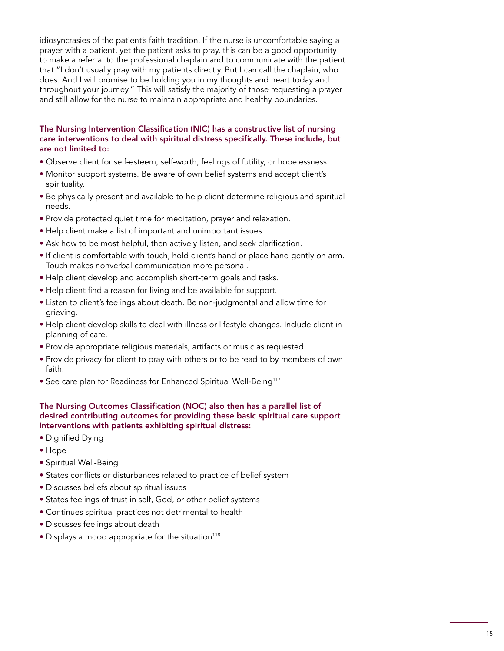idiosyncrasies of the patient's faith tradition. If the nurse is uncomfortable saying a prayer with a patient, yet the patient asks to pray, this can be a good opportunity to make a referral to the professional chaplain and to communicate with the patient that "I don't usually pray with my patients directly. But I can call the chaplain, who does. And I will promise to be holding you in my thoughts and heart today and throughout your journey." This will satisfy the majority of those requesting a prayer and still allow for the nurse to maintain appropriate and healthy boundaries.

### The Nursing Intervention Classification (NIC) has a constructive list of nursing care interventions to deal with spiritual distress specifically. These include, but are not limited to:

- Observe client for self-esteem, self-worth, feelings of futility, or hopelessness.
- Monitor support systems. Be aware of own belief systems and accept client's spirituality.
- Be physically present and available to help client determine religious and spiritual needs.
- Provide protected quiet time for meditation, prayer and relaxation.
- Help client make a list of important and unimportant issues.
- Ask how to be most helpful, then actively listen, and seek clarification.
- If client is comfortable with touch, hold client's hand or place hand gently on arm. Touch makes nonverbal communication more personal.
- Help client develop and accomplish short-term goals and tasks.
- Help client find a reason for living and be available for support.
- Listen to client's feelings about death. Be non-judgmental and allow time for grieving.
- Help client develop skills to deal with illness or lifestyle changes. Include client in planning of care.
- Provide appropriate religious materials, artifacts or music as requested.
- Provide privacy for client to pray with others or to be read to by members of own faith.
- See care plan for Readiness for Enhanced Spiritual Well-Being<sup>117</sup>

### The Nursing Outcomes Classification (NOC) also then has a parallel list of desired contributing outcomes for providing these basic spiritual care support interventions with patients exhibiting spiritual distress:

- Dignified Dying
- Hope
- Spiritual Well-Being
- States conflicts or disturbances related to practice of belief system
- Discusses beliefs about spiritual issues
- States feelings of trust in self, God, or other belief systems
- Continues spiritual practices not detrimental to health
- Discusses feelings about death
- Displays a mood appropriate for the situation<sup>118</sup>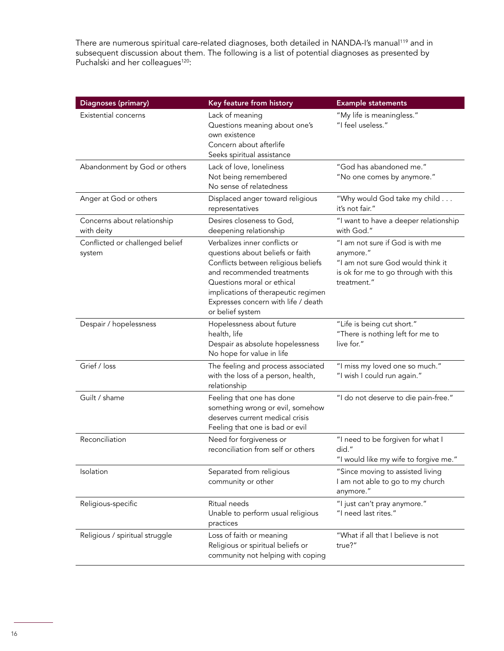There are numerous spiritual care-related diagnoses, both detailed in NANDA-I's manual119 and in subsequent discussion about them. The following is a list of potential diagnoses as presented by Puchalski and her colleagues<sup>120</sup>:

| <b>Diagnoses (primary)</b>                | Key feature from history                                                                                                                                                                                                                                               | <b>Example statements</b>                                                                                                                 |
|-------------------------------------------|------------------------------------------------------------------------------------------------------------------------------------------------------------------------------------------------------------------------------------------------------------------------|-------------------------------------------------------------------------------------------------------------------------------------------|
| Existential concerns                      | Lack of meaning<br>Questions meaning about one's<br>own existence<br>Concern about afterlife<br>Seeks spiritual assistance                                                                                                                                             | "My life is meaningless."<br>"I feel useless."                                                                                            |
| Abandonment by God or others              | Lack of love, loneliness<br>Not being remembered<br>No sense of relatedness                                                                                                                                                                                            | "God has abandoned me."<br>"No one comes by anymore."                                                                                     |
| Anger at God or others                    | Displaced anger toward religious<br>representatives                                                                                                                                                                                                                    | "Why would God take my child<br>it's not fair."                                                                                           |
| Concerns about relationship<br>with deity | Desires closeness to God,<br>deepening relationship                                                                                                                                                                                                                    | "I want to have a deeper relationship<br>with God."                                                                                       |
| Conflicted or challenged belief<br>system | Verbalizes inner conflicts or<br>questions about beliefs or faith<br>Conflicts between religious beliefs<br>and recommended treatments<br>Questions moral or ethical<br>implications of therapeutic regimen<br>Expresses concern with life / death<br>or belief system | "I am not sure if God is with me<br>anymore."<br>"I am not sure God would think it<br>is ok for me to go through with this<br>treatment." |
| Despair / hopelessness                    | Hopelessness about future<br>health, life<br>Despair as absolute hopelessness<br>No hope for value in life                                                                                                                                                             | "Life is being cut short."<br>"There is nothing left for me to<br>live for."                                                              |
| Grief / loss                              | The feeling and process associated<br>with the loss of a person, health,<br>relationship                                                                                                                                                                               | "I miss my loved one so much."<br>"I wish I could run again."                                                                             |
| Guilt / shame                             | Feeling that one has done<br>something wrong or evil, somehow<br>deserves current medical crisis<br>Feeling that one is bad or evil                                                                                                                                    | "I do not deserve to die pain-free."                                                                                                      |
| Reconciliation                            | Need for forgiveness or<br>reconciliation from self or others                                                                                                                                                                                                          | "I need to be forgiven for what I<br>did."<br>"I would like my wife to forgive me."                                                       |
| Isolation                                 | Separated from religious<br>community or other                                                                                                                                                                                                                         | "Since moving to assisted living<br>I am not able to go to my church<br>anymore."                                                         |
| Religious-specific                        | Ritual needs<br>Unable to perform usual religious<br>practices                                                                                                                                                                                                         | "I just can't pray anymore."<br>"I need last rites."                                                                                      |
| Religious / spiritual struggle            | Loss of faith or meaning<br>Religious or spiritual beliefs or<br>community not helping with coping                                                                                                                                                                     | "What if all that I believe is not<br>true?"                                                                                              |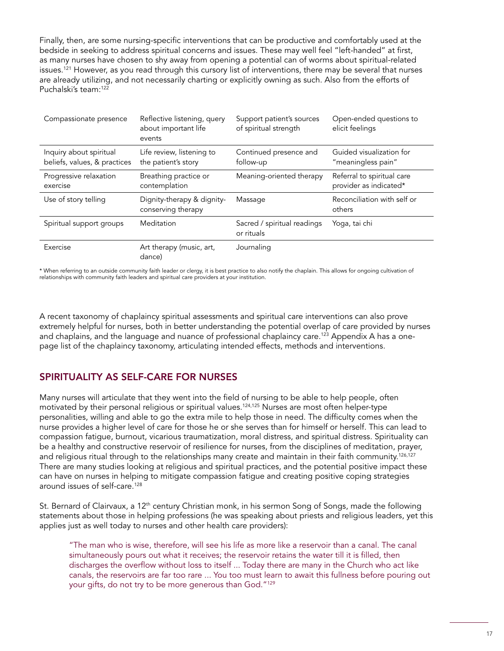Finally, then, are some nursing-specific interventions that can be productive and comfortably used at the bedside in seeking to address spiritual concerns and issues. These may well feel "left-handed" at first, as many nurses have chosen to shy away from opening a potential can of worms about spiritual-related issues.121 However, as you read through this cursory list of interventions, there may be several that nurses are already utilizing, and not necessarily charting or explicitly owning as such. Also from the efforts of Puchalski's team:122

| Compassionate presence                                  | Reflective listening, query<br>about important life<br>events | Support patient's sources<br>of spiritual strength | Open-ended questions to<br>elicit feelings           |
|---------------------------------------------------------|---------------------------------------------------------------|----------------------------------------------------|------------------------------------------------------|
| Inquiry about spiritual<br>beliefs, values, & practices | Life review, listening to<br>the patient's story              | Continued presence and<br>follow-up                | Guided visualization for<br>"meaningless pain"       |
| Progressive relaxation<br>exercise                      | Breathing practice or<br>contemplation                        | Meaning-oriented therapy                           | Referral to spiritual care<br>provider as indicated* |
| Use of story telling                                    | Dignity-therapy & dignity-<br>conserving therapy              | Massage                                            | Reconciliation with self or<br>others                |
| Spiritual support groups                                | Meditation                                                    | Sacred / spiritual readings<br>or rituals          | Yoga, tai chi                                        |
| Exercise                                                | Art therapy (music, art,<br>dance)                            | Journaling                                         |                                                      |

\* When referring to an outside community faith leader or clergy, it is best practice to also notify the chaplain. This allows for ongoing cultivation of relationships with community faith leaders and spiritual care providers at your institution.

A recent taxonomy of chaplaincy spiritual assessments and spiritual care interventions can also prove extremely helpful for nurses, both in better understanding the potential overlap of care provided by nurses and chaplains, and the language and nuance of professional chaplaincy care.<sup>123</sup> Appendix A has a onepage list of the chaplaincy taxonomy, articulating intended effects, methods and interventions.

## SPIRITUALITY AS SELF-CARE FOR NURSES

Many nurses will articulate that they went into the field of nursing to be able to help people, often motivated by their personal religious or spiritual values.124,125 Nurses are most often helper-type personalities, willing and able to go the extra mile to help those in need. The difficulty comes when the nurse provides a higher level of care for those he or she serves than for himself or herself. This can lead to compassion fatigue, burnout, vicarious traumatization, moral distress, and spiritual distress. Spirituality can be a healthy and constructive reservoir of resilience for nurses, from the disciplines of meditation, prayer, and religious ritual through to the relationships many create and maintain in their faith community.<sup>126,127</sup> There are many studies looking at religious and spiritual practices, and the potential positive impact these can have on nurses in helping to mitigate compassion fatigue and creating positive coping strategies around issues of self-care.<sup>128</sup>

St. Bernard of Clairvaux, a 12<sup>th</sup> century Christian monk, in his sermon Song of Songs, made the following statements about those in helping professions (he was speaking about priests and religious leaders, yet this applies just as well today to nurses and other health care providers):

"The man who is wise, therefore, will see his life as more like a reservoir than a canal. The canal simultaneously pours out what it receives; the reservoir retains the water till it is filled, then discharges the overflow without loss to itself ... Today there are many in the Church who act like canals, the reservoirs are far too rare ... You too must learn to await this fullness before pouring out your gifts, do not try to be more generous than God."129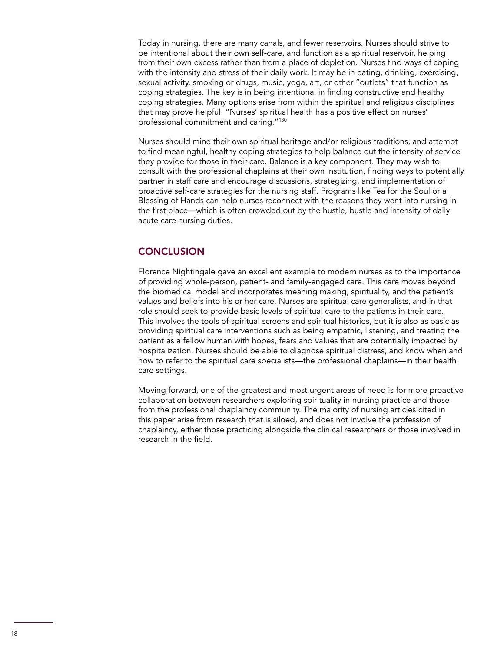Today in nursing, there are many canals, and fewer reservoirs. Nurses should strive to be intentional about their own self-care, and function as a spiritual reservoir, helping from their own excess rather than from a place of depletion. Nurses find ways of coping with the intensity and stress of their daily work. It may be in eating, drinking, exercising, sexual activity, smoking or drugs, music, yoga, art, or other "outlets" that function as coping strategies. The key is in being intentional in finding constructive and healthy coping strategies. Many options arise from within the spiritual and religious disciplines that may prove helpful. "Nurses' spiritual health has a positive effect on nurses' professional commitment and caring."130

Nurses should mine their own spiritual heritage and/or religious traditions, and attempt to find meaningful, healthy coping strategies to help balance out the intensity of service they provide for those in their care. Balance is a key component. They may wish to consult with the professional chaplains at their own institution, finding ways to potentially partner in staff care and encourage discussions, strategizing, and implementation of proactive self-care strategies for the nursing staff. Programs like Tea for the Soul or a Blessing of Hands can help nurses reconnect with the reasons they went into nursing in the first place—which is often crowded out by the hustle, bustle and intensity of daily acute care nursing duties.

## **CONCLUSION**

Florence Nightingale gave an excellent example to modern nurses as to the importance of providing whole-person, patient- and family-engaged care. This care moves beyond the biomedical model and incorporates meaning making, spirituality, and the patient's values and beliefs into his or her care. Nurses are spiritual care generalists, and in that role should seek to provide basic levels of spiritual care to the patients in their care. This involves the tools of spiritual screens and spiritual histories, but it is also as basic as providing spiritual care interventions such as being empathic, listening, and treating the patient as a fellow human with hopes, fears and values that are potentially impacted by hospitalization. Nurses should be able to diagnose spiritual distress, and know when and how to refer to the spiritual care specialists—the professional chaplains—in their health care settings.

Moving forward, one of the greatest and most urgent areas of need is for more proactive collaboration between researchers exploring spirituality in nursing practice and those from the professional chaplaincy community. The majority of nursing articles cited in this paper arise from research that is siloed, and does not involve the profession of chaplaincy, either those practicing alongside the clinical researchers or those involved in research in the field.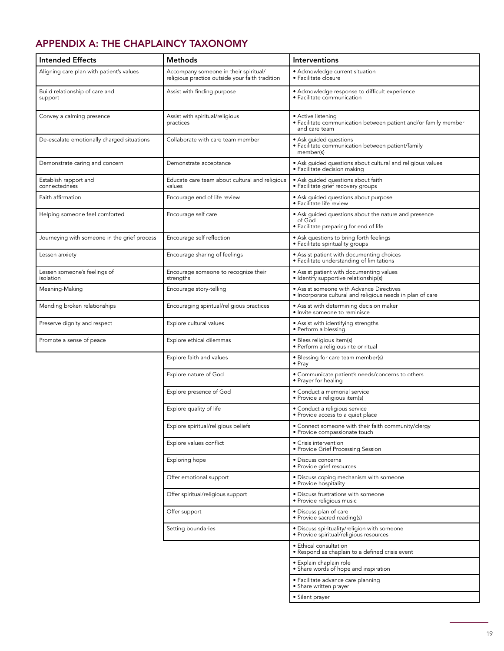## APPENDIX A: THE CHAPLAINCY TAXONOMY

| <b>Intended Effects</b>                      | <b>Methods</b>                                                                           | Interventions                                                                                            |
|----------------------------------------------|------------------------------------------------------------------------------------------|----------------------------------------------------------------------------------------------------------|
| Aligning care plan with patient's values     | Accompany someone in their spiritual/<br>religious practice outside your faith tradition | • Acknowledge current situation<br>· Facilitate closure                                                  |
| Build relationship of care and<br>support    | Assist with finding purpose                                                              | · Acknowledge response to difficult experience<br>· Facilitate communication                             |
| Convey a calming presence                    | Assist with spiritual/religious<br>practices                                             | • Active listening<br>• Facilitate communication between patient and/or family member<br>and care team   |
| De-escalate emotionally charged situations   | Collaborate with care team member                                                        | · Ask guided questions<br>• Facilitate communication between patient/family<br>member(s)                 |
| Demonstrate caring and concern               | Demonstrate acceptance                                                                   | • Ask guided questions about cultural and religious values<br>· Facilitate decision making               |
| Establish rapport and<br>connectedness       | Educate care team about cultural and religious<br>values                                 | • Ask guided questions about faith<br>• Facilitate grief recovery groups                                 |
| Faith affirmation                            | Encourage end of life review                                                             | • Ask guided questions about purpose<br>• Facilitate life review                                         |
| Helping someone feel comforted               | Encourage self care                                                                      | • Ask guided questions about the nature and presence<br>of God<br>• Facilitate preparing for end of life |
| Journeying with someone in the grief process | Encourage self reflection                                                                | • Ask questions to bring forth feelings<br>• Facilitate spirituality groups                              |
| Lessen anxiety                               | Encourage sharing of feelings                                                            | • Assist patient with documenting choices<br>• Facilitate understanding of limitations                   |
| Lessen someone's feelings of<br>isolation    | Encourage someone to recognize their<br>strengths                                        | • Assist patient with documenting values<br>• Identify supportive relationship(s)                        |
| Meaning-Making                               | Encourage story-telling                                                                  | • Assist someone with Advance Directives<br>• Incorporate cultural and religious needs in plan of care   |
| Mending broken relationships                 | Encouraging spiritual/religious practices                                                | • Assist with determining decision maker<br>• Invite someone to reminisce                                |
| Preserve dignity and respect                 | Explore cultural values                                                                  | • Assist with identifying strengths<br>• Perform a blessing                                              |
| Promote a sense of peace                     | Explore ethical dilemmas                                                                 | • Bless religious item(s)<br>· Perform a religious rite or ritual                                        |
|                                              | Explore faith and values                                                                 | • Blessing for care team member(s)<br>$\bullet$ Pray                                                     |
|                                              | Explore nature of God                                                                    | • Communicate patient's needs/concerns to others<br>• Prayer for healing                                 |
|                                              | Explore presence of God                                                                  | · Conduct a memorial service<br>• Provide a religious item(s)                                            |
|                                              | Explore quality of life                                                                  | • Conduct a religious service<br>• Provide access to a quiet place                                       |
|                                              | Explore spiritual/religious beliefs                                                      | • Connect someone with their faith community/clergy<br>• Provide compassionate touch                     |
|                                              | Explore values conflict                                                                  | • Crisis intervention<br>• Provide Grief Processing Session                                              |
|                                              | Exploring hope                                                                           | • Discuss concerns<br>• Provide grief resources                                                          |
|                                              | Offer emotional support                                                                  | • Discuss coping mechanism with someone<br>• Provide hospitality                                         |
|                                              | Offer spiritual/religious support                                                        | • Discuss frustrations with someone<br>• Provide religious music                                         |
|                                              | Offer support                                                                            | • Discuss plan of care<br>• Provide sacred reading(s)                                                    |
|                                              | Setting boundaries                                                                       | · Discuss spirituality/religion with someone<br>• Provide spiritual/religious resources                  |
|                                              |                                                                                          | • Ethical consultation<br>• Respond as chaplain to a defined crisis event                                |
|                                              |                                                                                          | • Explain chaplain role<br>• Share words of hope and inspiration                                         |
|                                              |                                                                                          | · Facilitate advance care planning<br>• Share written prayer                                             |
|                                              |                                                                                          | • Silent prayer                                                                                          |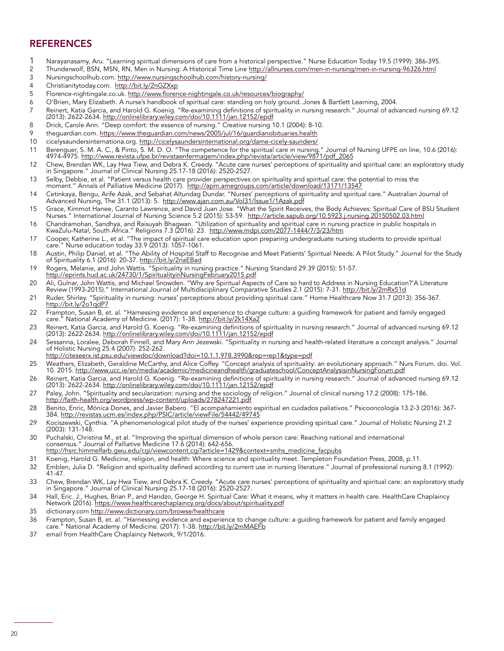## REFERENCES

- 1 Narayanasamy, Aru. "Learning spiritual dimensions of care from a historical perspective." Nurse Education Today 19.5 (1999): 386-395.
- 2 Thunderwolf, BSN, MSN, RN, Men in Nursing: A Historical Time Line http://allnurses.com/men-in-nursing/men-in-nursing-96326.html
- 3 Nursingschoolhub.com. http://www.nursingschoolhub.com/history-nursing/
- 4 Christianitytoday.com. http://bit.ly/2nGZXxp<br>5 Florence-nightingale.co.uk. http://www.floren
- Florence-nightingale.co.uk. http://www.florence-nightingale.co.uk/resources/biography/
- 6 O'Brien, Mary Elizabeth. A nurse's handbook of spiritual care: standing on holy ground. Jones & Bartlett Learning, 2004.
- 7 Reinert, Katia Garcia, and Harold G. Koenig. "Re-examining definitions of spirituality in nursing research." Journal of advanced nursing 69.12 (2013): 2622-2634. http://onlinelibrary.wiley.com/doi/10.1111/jan.12152/epdf
- 8 Drick, Carole Ann. "Deep comfort: the essence of nursing." Creative nursing 10.1 (2004): 8-10.
- 9 theguardian.com. https://www.theguardian.com/news/2005/jul/16/guardianobituaries.health
- 10 cicelysaundersinternationa.org. http://cicelysaundersinternational.org/dame-cicely-saunders/
- 11 Berenguer, S. M. A. C., & Pinto, S. M. D. O. "The competence for the spiritual care in nursing." Journal of Nursing UFPE on line, 10.6 (2016): 4974-4975. http://www.revista.ufpe.br/revistaenfermagem/index.php/revista/article/view/9871/pdf\_2065
- 12 Chew, Brendan WK, Lay Hwa Tiew, and Debra K. Creedy. "Acute care nurses' perceptions of spirituality and spiritual care: an exploratory study in Singapore." Journal of Clinical Nursing 25.17-18 (2016): 2520-2527.
- 13 Selby, Debbie, et al. "Patient versus health care provider perspectives on spirituality and spiritual care: the potential to miss the moment." Annals of Palliative Medicine (2017). http://apm.amegroups.com/article/download/13171/13547
- 14 Cetinkaya, Bengu, Arife Azak, and Sebahat Altundag Dundar. "Nurses' perceptions of spirituality and spiritual care." Australian Journal of Advanced Nursing, The 31.1 (2013): 5. <u>http://www.ajan.com.au/Vol31/Issue1/1Azak.pdf</u>
- 15 Grace, Kimmot Hanee, Caranto Lawrence, and David Juan Jose. "What the Spirit Receives, the Body Achieves: Spiritual Care of BSU Student Nurses." International Journal of Nursing Science 5.2 (2015): 53-59. <u>http://article.sapub.org/10.5923.j.nursing.20150502.03.html</u>
- 16 Chandramohan, Sandhya, and Raisuyah Bhagwan. "Utilization of spirituality and spiritual care in nursing practice in public hospitals in KwaZulu-Natal, South África." Religions 7.3 (2016): 23. <u>http://www.mdpi.com/2077-1444/7/3/23/htm</u>
- 17 Cooper, Katherine L., et al. "The impact of spiritual care education upon preparing undergraduate nursing students to provide spiritual care." Nurse education today 33.9 (2013): 1057-1061.
- 18 Austin, Philip Daniel, et al. "The Ability of Hospital Staff to Recognise and Meet Patients' Spiritual Needs: A Pilot Study." Journal for the Study of Spirituality 6.1 (2016): 20-37. http://bit.ly/2naEBad
- 19 Rogers, Melanie, and John Wattis. "Spirituality in nursing practice." Nursing Standard 29.39 (2015): 51-57. http://eprints.hud.ac.uk/24730/1/SpiritualityinNursingFebruary2015.pdf
- 20 Ali, Gulnar, John Wattis, and Michael Snowden. "Why are Spiritual Aspects of Care so hard to Address in Nursing Education?'A Literature Review (1993-2015)." International Journal of Multidisciplinary Comparative Studies 2.1 (2015): 7-31. <u>http://bit.ly/2mRx51d</u>
- 21 Ruder, Shirley. "Spirituality in nursing: nurses' perceptions about providing spiritual care." Home Healthcare Now 31.7 (2013): 356-367. http://bit.ly/2o1qdP7
- 22 Frampton, Susan B, et. al. "Harnessing evidence and experience to change culture: a guiding framework for patient and family engaged care." National Academy of Medicine. (2017): 1-38. <u>http://bit.ly/2k14Xa2</u>
- 23 Reinert, Katia Garcia, and Harold G. Koenig. "Re-examining definitions of spirituality in nursing research." Journal of advanced nursing 69.12 (2013): 2622-2634. http://onlinelibrary.wiley.com/doi/10.1111/jan.12152/epdf
- 24 Sessanna, Loralee, Deborah Finnell, and Mary Ann Jezewski. "Spirituality in nursing and health-related literature a concept analysis." Journal of Holistic Nursing 25.4 (2007): 252-262.
- http://citeseerx.ist.psu.edu/viewdoc/download?doi=10.1.1.978.3990&rep=rep1&type=pdf 25 Weathers, Elizabeth, Geraldine McCarthy, and Alice Coffey. "Concept analysis of spirituality: an evolutionary approach." Nurs Forum. doi. Vol.
- 10. 2015. http://www.ucc.ie/en/media/academic/medicineandhealth/graduateschool/ConceptAnalysisinNursingForum.pdf 26 Reinert, Katia Garcia, and Harold G. Koenig. "Re-examining definitions of spirituality in nursing research." Journal of advanced nursing 69.12
- (2013): 2622-2634. http://onlinelibrary.wiley.com/doi/10.1111/jan.12152/epdf
- 27 Paley, John. "Spirituality and secularization: nursing and the sociology of religion." Journal of clinical nursing 17.2 (2008): 175-186. http://faith-health.org/wordpress/wp-content/uploads/278247221.pdf
- 28 Benito, Enric, Mónica Dones, and Javier Babero. "El acompañamiento espiritual en cuidados paliativos." Psicooncología 13.2-3 (2016): 367- 384. http://revistas.ucm.es/index.php/PSIC/article/viewFile/54442/49745
- 29 Kociszewski, Cynthia. "A phenomenological pilot study of the nurses' experience providing spiritual care." Journal of Holistic Nursing 21.2 (2003): 131-148.
- 30 Puchalski, Christina M., et al. "Improving the spiritual dimension of whole person care: Reaching national and international consensus." Journal of Palliative Medicine 17.6 (2014): 642-656.

http://hsrc.himmelfarb.gwu.edu/cgi/viewcontent.cgi?article=1429&context=smhs\_medicine\_facpubs

- 31 Koenig, Harold G. Medicine, religion, and health: Where science and spirituality meet. Templeton Foundation Press, 2008, p.11.
- 32 Emblen, Julia D. "Religion and spirituality defined according to current use in nursing literature." Journal of professional nursing 8.1 (1992): 41-47.
- 33 Chew, Brendan WK, Lay Hwa Tiew, and Debra K. Creedy. "Acute care nurses' perceptions of spirituality and spiritual care: an exploratory study in Singapore." Journal of Clinical Nursing 25.17-18 (2016): 2520-2527.
- 34 Hall, Eric. J., Hughes, Brian P., and Handzo, George H. Spiritual Care: What it means, why it matters in health care. HealthCare Chaplaincy Network (2016). https://www.healthcarechaplaincy.org/docs/about/spirituality.pdf
- 35 dictionary.com http://www.dictionary.com/browse/healthcare
- 36 Frampton, Susan B, et. al. "Harnessing evidence and experience to change culture: a guiding framework for patient and family engaged care." National Academy of Medicine. (2017): 1-38. <u>http://bit.ly/2mMAEFb</u>
- 37 email from HealthCare Chaplaincy Network, 9/1/2016.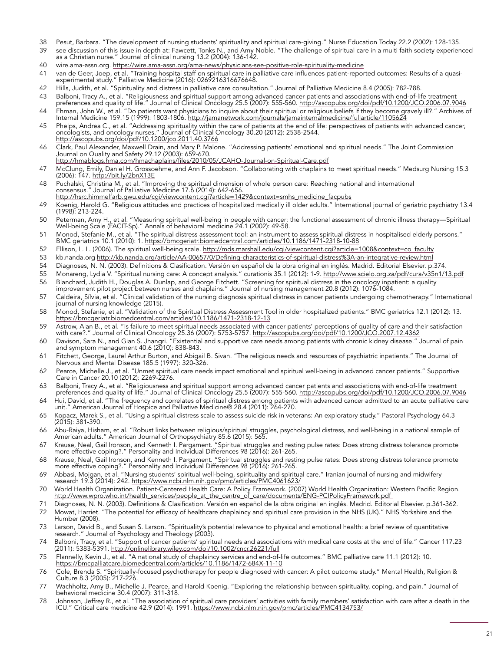- 38 Pesut, Barbara. "The development of nursing students' spirituality and spiritual care-giving." Nurse Education Today 22.2 (2002): 128-135.
- 39 see discussion of this issue in depth at: Fawcett, Tonks N., and Amy Noble. "The challenge of spiritual care in a multi faith society experienced as a Christian nurse." Journal of clinical nursing 13.2 (2004): 136-142.
- 40 wire.ama-assn.org. https://wire.ama-assn.org/ama-news/physicians-see-positive-role-spirituality-medicine
- 41 van de Geer, Joep, et al. "Training hospital staff on spiritual care in palliative care influences patient-reported outcomes: Results of a quasiexperimental study." Palliative Medicine (2016): 0269216316676648.
- 42 Hills, Judith, et al. "Spirituality and distress in palliative care consultation." Journal of Palliative Medicine 8.4 (2005): 782-788.
- 43 Balboni, Tracy A., et al. "Religiousness and spiritual support among advanced cancer patients and associations with end-of-life treatment preferences and quality of life." Journal of Clinical Oncology 25.5 (2007): 555-560. http://ascopubs.org/doi/pdf/10.1200/JCO.2006.07.9046
- 44 Ehman, John W., et al. "Do patients want physicians to inquire about their spiritual or religious beliefs if they become gravely ill?." Archives of Internal Medicine 159.15 (1999): 1803-1806. http://jamanetwork.com/journals/jamainternalmedicine/fullarticle/1105624
- 45 Phelps, Andrea C., et al. "Addressing spirituality within the care of patients at the end of life: perspectives of patients with advanced cancer, oncologists, and oncology nurses." Journal of Clinical Oncology 30.20 (2012): 2538-2544. http://ascopubs.org/doi/pdf/10.1200/jco.2011.40.3766
- 46 Clark, Paul Alexander, Maxwell Drain, and Mary P. Malone. "Addressing patients' emotional and spiritual needs." The Joint Commission Journal on Quality and Safety 29.12 (2003): 659-670.
- http://hmablogs.hma.com/hmachaplains/files/2010/05/JCAHO-Journal-on-Spiritual-Care.pdf
- 47 McClung, Emily, Daniel H. Grossoehme, and Ann F. Jacobson. "Collaborating with chaplains to meet spiritual needs." Medsurg Nursing 15.3 (2006): 147. http://bit.ly/2bnX13E
- 48 Puchalski, Christina M., et al. "Improving the spiritual dimension of whole person care: Reaching national and international consensus." Journal of Palliative Medicine 17.6 (2014): 642-656.
- http://hsrc.himmelfarb.gwu.edu/cgi/viewcontent.cgi?article=1429&context=smhs\_medicine\_facpubs
- 49 Koenig, Harold G. "Religious attitudes and practices of hospitalized medically ill older adults." International journal of geriatric psychiatry 13.4 (1998): 213-224.
- 50 Peterman, Amy H., et al. "Measuring spiritual well-being in people with cancer: the functional assessment of chronic illness therapy—Spiritual Well-being Scale (FACIT-Sp)." Annals of behavioral medicine 24.1 (2002): 49-58.
- 51 Monod, Stefanie M., et al. "The spiritual distress assessment tool: an instrument to assess spiritual distress in hospitalised elderly persons." BMC geriatrics 10.1 (2010): 1. https://bmcgeriatr.biomedcentral.com/articles/10.1186/1471-2318-10-88
- 52 Ellison, L. L. (2006). The spiritual well-being scale. http://mds.marshall.edu/cgi/viewcontent.cgi?article=1008&context=co\_faculty
- 53 kb.nanda.org http://kb.nanda.org/article/AA-00657/0/Defining-characteristics-of-spiritual-distress%3A-an-integrative-review.html
- 54 Diagnoses, N. N. (2003). Definitions & Clasification. Versión en español de la obra original en inglés. Madrid. Editorial Elsevier. p.374.
- 55 Monareng, Lydia V. "Spiritual nursing care: A concept analysis." curationis 35.1 (2012): 1-9. http://www.scielo.org.za/pdf/cura/v35n1/13.pdf
- 56 Blanchard, Judith H., Douglas A. Dunlap, and George Fitchett. "Screening for spiritual distress in the oncology inpatient: a quality improvement pilot project between nurses and chaplains." Journal of nursing management 20.8 (2012): 1076-1084.
- 57 Caldeira, Sílvia, et al. "Clinical validation of the nursing diagnosis spiritual distress in cancer patients undergoing chemotherapy." International journal of nursing knowledge (2015).
- 58 Monod, Stefanie, et al. "Validation of the Spiritual Distress Assessment Tool in older hospitalized patients." BMC geriatrics 12.1 (2012): 13. https://bmcgeriatr.biomedcentral.com/articles/10.1186/1471-2318-12-13
- 59 Astrow, Alan B., et al. "Is failure to meet spiritual needs associated with cancer patients' perceptions of quality of care and their satisfaction with care?." Journal of Clinical Oncology 25.36 (2007): 5753-5757. http://ascopubs.org/doi/pdf/10.1200/JCO.2007.12.4362
- 60 Davison, Sara N., and Gian S. Jhangri. "Existential and supportive care needs among patients with chronic kidney disease." Journal of pain and symptom management 40.6 (2010): 838-843.
- 61 Fitchett, George, Laurel Arthur Burton, and Abigail B. Sivan. "The religious needs and resources of psychiatric inpatients." The Journal of Nervous and Mental Disease 185.5 (1997): 320-326.
- 62 Pearce, Michelle J., et al. "Unmet spiritual care needs impact emotional and spiritual well-being in advanced cancer patients." Supportive Care in Cancer 20.10 (2012): 2269-2276.
- 63 Balboni, Tracy A., et al. "Religiousness and spiritual support among advanced cancer patients and associations with end-of-life treatment preferences and quality of life." Journal of Clinical Oncology 25.5 (2007): 555-560. http://ascopubs.org/doi/pdf/10.1200/JCO.2006.07.9046
- 64 Hui, David, et al. "The frequency and correlates of spiritual distress among patients with advanced cancer admitted to an acute palliative care unit." American Journal of Hospice and Palliative Medicine® 28.4 (2011): 264-270.
- 65 Kopacz, Marek S., et al. "Using a spiritual distress scale to assess suicide risk in veterans: An exploratory study." Pastoral Psychology 64.3 (2015): 381-390.
- 66 Abu-Raiya, Hisham, et al. "Robust links between religious/spiritual struggles, psychological distress, and well-being in a national sample of American adults." American Journal of Orthopsychiatry 85.6 (2015): 565.
- 67 Krause, Neal, Gail Ironson, and Kenneth I. Pargament. "Spiritual struggles and resting pulse rates: Does strong distress tolerance promote more effective coping?." Personality and Individual Differences 98 (2016): 261-265.
- 68 Krause, Neal, Gail Ironson, and Kenneth I. Pargament. "Spiritual struggles and resting pulse rates: Does strong distress tolerance promote more effective coping?." Personality and Individual Differences 98 (2016): 261-265.
- 69 Abbasi, Mojgan, et al. "Nursing students' spiritual well-being, spirituality and spiritual care." Iranian journal of nursing and midwifery research 19.3 (2014): 242. https://www.ncbi.nlm.nih.gov/pmc/articles/PMC4061623/
- 70 World Health Organization. Patient-Centered Health Care: A Policy Framework. (2007) World Health Organization: Western Pacific Region. http://www.wpro.who.int/health\_services/people\_at\_the\_centre\_of\_care/documents/ENG-PCIPolicyFramework.pdf
- 71 Diagnoses, N. N. (2003). Definitions & Clasification. Versión en español de la obra original en inglés. Madrid. Editorial Elsevier. p.361-362.
- 72 Mowat, Harriet. "The potential for efficacy of healthcare chaplaincy and spiritual care provision in the NHS (UK)." NHS Yorkshire and the Humber (2008).
- 73 Larson, David B., and Susan S. Larson. "Spirituality's potential relevance to physical and emotional health: a brief review of quantitative research." Journal of Psychology and Theology (2003).
- 74 Balboni, Tracy, et al. "Support of cancer patients' spiritual needs and associations with medical care costs at the end of life." Cancer 117.23 (2011): 5383-5391. http://onlinelibrary.wiley.com/doi/10.1002/cncr.26221/full
- 75 Flannelly, Kevin J., et al. "A national study of chaplaincy services and end-of-life outcomes." BMC palliative care 11.1 (2012): 10. https://bmcpalliatcare.biomedcentral.com/articles/10.1186/1472-684X-11-10
- 76 Cole, Brenda S. "Spiritually-focused psychotherapy for people diagnosed with cancer: A pilot outcome study." Mental Health, Religion & Culture 8.3 (2005): 217-226.
- 77 Wachholtz, Amy B., Michelle J. Pearce, and Harold Koenig. "Exploring the relationship between spirituality, coping, and pain." Journal of behavioral medicine 30.4 (2007): 311-318.
- 78 Johnson, Jeffrey R., et al. "The association of spiritual care providers' activities with family members' satisfaction with care after a death in the ICU." Critical care medicine 42.9 (2014): 1991. https://www.ncbi.nlm.nih.gov/pmc/articles/PMC4134753/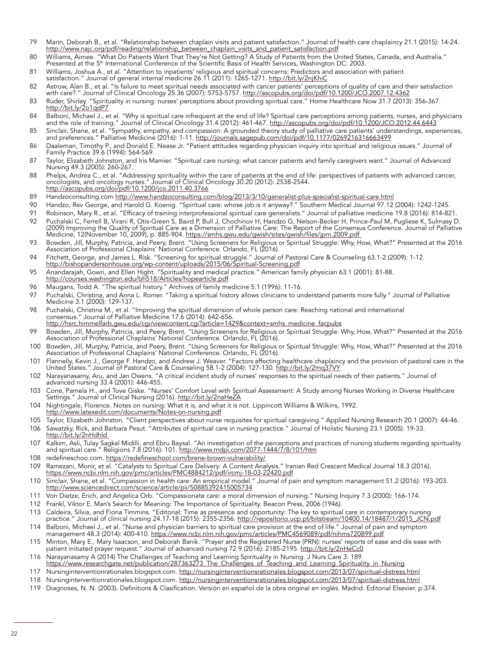- 79 Marin, Deborah B., et al. "Relationship between chaplain visits and patient satisfaction." Journal of health care chaplaincy 21.1 (2015): 14-24. http://www.najc.org/pdf/reading/relationship\_between\_chaplain\_visits\_and\_patient\_satisfaction.pdf
- 80 Williams, Aimee. "What Do Patients Want That They're Not Getting? A Study of Patients from the United States, Canada, and Australia." Presented at the 5<sup>th</sup> International Conference of the Scientific Basis of Health Services, Washington DC: 2003.
- 81 Williams, Joshua A., et al. "Attention to inpatients' religious and spiritual concerns: Predictors and association with patient satisfaction." Journal of general internal medicine 26.11 (2011): 1265-1271. http://bit.ly/2njKhiC
- 82 Astrow, Alan B., et al. "Is failure to meet spiritual needs associated with cancer patients' perceptions of quality of care and their satisfaction with care?." Journal of Clinical Oncology 25.36 (2007): 5753-5757. http://ascopubs.org/doi/pdf/10.1200/JCO.2007.12.4362
- 83 Ruder, Shirley. "Spirituality in nursing: nurses' perceptions about providing spiritual care." Home Healthcare Now 31.7 (2013): 356-367. http://bit.ly/2o1qdP7
- 84 Balboni, Michael J., et al. "Why is spiritual care infrequent at the end of life? Spiritual care perceptions among patients, nurses, and physicians and the role of training." Journal of Clinical Oncology 31.4 (2012): 461-467. http://ascopubs.org/doi/pdf/10.1200/JCO.2012.44.6443
- 85 Sinclair, Shane, et al. "Sympathy, empathy, and compassion: A grounded theory study of palliative care patients' understandings, experiences, and preferences." Palliative Medicine (2016): 1-11. http://journals.sagepub.com/doi/pdf/10.1177/0269216316663499
- 86 Daaleman, Timothy P., and Donald E. Nease Jr. "Patient attitudes regarding physician inquiry into spiritual and religious issues." Journal of Family Practice 39.6 (1994): 564-569.
- 87 Taylor, Elizabeth Johnston, and Iris Mamier. "Spiritual care nursing: what cancer patients and family caregivers want." Journal of Advanced Nursing 49.3 (2005): 260-267.
- 88 Phelps, Andrea C., et al. "Addressing spirituality within the care of patients at the end of life: perspectives of patients with advanced cancer, oncologists, and oncology nurses." Journal of Clinical Oncology 30.20 (2012): 2538-2544. http://ascopubs.org/doi/pdf/10.1200/jco.2011.40.3766
- 89 Handzoconsulting.com http://www.handzoconsulting.com/blog/2013/3/10/generalist-plus-specialist-spiritual-care.html
- 90 Handzo, Rev George, and Harold G. Koenig. "Spiritual care: whose job is it anyway?." Southern Medical Journal 97.12 (2004): 1242-1245.
- 91 Robinson, Mary R., et al. "Efficacy of training interprofessional spiritual care generalists." Journal of palliative medicine 19.8 (2016): 814-821.
- 92 Puchalski C, Ferrell B, Virani R, Otis-Green S, Baird P, Bull J, Chochinov H, Handzo G, Nelson-Becker H, Prince-Paul M, Pugliese K, Sulmasy D. (2009) Improving the Quality of Spiritual Care as a Dimension of Palliative Care: The Report of the Consensus Conference. Journal of Palliative Medicine, 12(November 10, 2009), p. 885-904. https://smhs.gwu.edu/gwish/sites/gwish/files/jpm.2009.pdf
- 93 Bowden, Jill, Murphy, Patricia, and Peery, Brent. "Using Screeners for Religious or Spiritual Struggle: Why, How, What?" Presented at the 2016 Association of Professional Chaplains' National Conference. Orlando, FL (2016).
- 94 Fitchett, George, and James L. Risk. "Screening for spiritual struggle." Journal of Pastoral Care & Counseling 63.1-2 (2009): 1-12. http://bishopandersonhouse.org/wp-content/uploads/2015/06/Spiritual-Screening.pdf
- 95 Anandarajah, Gowri, and Ellen Hight. "Spirituality and medical practice." American family physician 63.1 (2001): 81-88. http://courses.washington.edu/bh518/Articles/hopearticle.pdf
- 96 Maugans, Todd A. "The spiritual history." Archives of family medicine 5.1 (1996): 11-16.
- 97 Puchalski, Christina, and Anna L. Romer. "Taking a spiritual history allows clinicians to understand patients more fully." Journal of Palliative Medicine 3.1 (2000): 129-137.
- 98 Puchalski, Christina M., et al. "Improving the spiritual dimension of whole person care: Reaching national and international consensus." Journal of Palliative Medicine 17.6 (2014): 642-656.
- http://hsrc.himmelfarb.gwu.edu/cgi/viewcontent.cgi?article=1429&context=smhs\_medicine\_facpubs
- 99 Bowden, Jill, Murphy, Patricia, and Peery, Brent. "Using Screeners for Religious or Spiritual Struggle: Why, How, What?" Presented at the 2016 Association of Professional Chaplains' National Conference. Orlando, FL (2016).
- 100 Bowden, Jill, Murphy, Patricia, and Peery, Brent. "Using Screeners for Religious or Spiritual Struggle: Why, How, What?" Presented at the 2016 Association of Professional Chaplains' National Conference. Orlando, FL (2016).
- 101 Flannelly, Kevin J., George F. Handzo, and Andrew J. Weaver. "Factors affecting healthcare chaplaincy and the provision of pastoral care in the United States." Journal of Pastoral Care & Counseling 58.1-2 (2004): 127-130. <u>http://bit.ly/2mq37VY</u>
- 102 Narayanasamy, Aru, and Jan Owens. "A critical incident study of nurses' responses to the spiritual needs of their patients." Journal of advanced nursing 33.4 (2001): 446-455.
- 103 Cone, Pamela H., and Tove Giske. "Nurses' Comfort Level with Spiritual Assessment: A Study among Nurses Working in Diverse Healthcare Settings." Journal of Clinical Nursing (2016). http://bit.ly/2naHeZA
- 104 Nightingale, Florence. Notes on nursing: What it is, and what it is not. Lippincott Williams & Wilkins, 1992. http://www.latexedit.com/documents/Notes-on-nursing.pdf
- 105 Taylor, Elizabeth Johnston. "Client perspectives about nurse requisites for spiritual caregiving." Applied Nursing Research 20.1 (2007): 44-46.
- 106 Sawatzky, Rick, and Barbara Pesut. "Attributes of spiritual care in nursing practice." Journal of Holistic Nursing 23.1 (2005): 19-33. http://bit.ly/2nHdhld
- 107 Kalkim, Asli, Tulay Sagkal Midilli, and Ebru Baysal. "An investigation of the perceptions and practices of nursing students regarding spirituality and spiritual care." Religions 7.8 (2016): 101. http://www.mdpi.com/2077-1444/7/8/101/htm
- 108 redefineschoo.com. https://redefineschool.com/brene-brown-vulnerability/
- 109 Ramezani, Monir, et al. "Catalysts to Spiritual Care Delivery: A Content Analysis." Iranian Red Crescent Medical Journal 18.3 (2016). https://www.ncbi.nlm.nih.gov/pmc/articles/PMC4884212/pdf/ircmj-18-03-22420.pdf
- 110 Sinclair, Shane, et al. "Compassion in health care: An empirical model." Journal of pain and symptom management 51.2 (2016): 193-203. http://www.sciencedirect.com/science/article/pii/S0885392415005734
- 111 Von Dietze, Erich, and Angelica Orb. "Compassionate care: a moral dimension of nursing." Nursing Inquiry 7.3 (2000): 166-174.
- 112 Frankl, Viktor E. Man's Search for Meaning: The Importance of Spirituality. Beacon Press, 2006 (1946).
- 113 Caldeira, Sílvia, and Fiona Timmins. "Editorial: Time as presence and opportunity: The key to spiritual care in contemporary nursing practice." Journal of clinical nursing 24.17-18 (2015): 2355-2356. http://repositorio.ucp.pt/bitstream/10400.14/18487/1/2015\_JCN.pdf
- 114 Balboni, Michael J., et al. "Nurse and physician barriers to spiritual care provision at the end of life." Journal of pain and symptom management 48.3 (2014): 400-410. https://www.ncbi.nlm.nih.gov/pmc/articles/PMC4569089/pdf/nihms720899.pdf
- 115 Minton, Mary E., Mary Isaacson, and Deborah Banik. "Prayer and the Registered Nurse (PRN): nurses' reports of ease and dis‐ease with patient initiated prayer request." Journal of advanced nursing 72.9 (2016): 2185-2195. http://bit.ly/2nHeCc0
- 116 Narayanasamy A (2014) The Challenges of Teaching and Learning Spirituality in Nursing. J Nurs Care 3: 189. https://www.researchgate.net/publication/287363273\_The\_Challenges\_of\_Teaching\_and\_Learning\_Spirituality\_in\_Nursing
- 117 Nursinginterventionrationales.blogspot.com. http://nursinginterventionsrationales.blogspot.com/2013/07/spiritual-distress.html
- 118 Nursinginterventionrationales.blogspot.com. http://nursinginterventionsrationales.blogspot.com/2013/07/spiritual-distress.html
- 119 Diagnoses, N. N. (2003). Definitions & Clasification. Versión en español de la obra original en inglés. Madrid. Editorial Elsevier. p.374.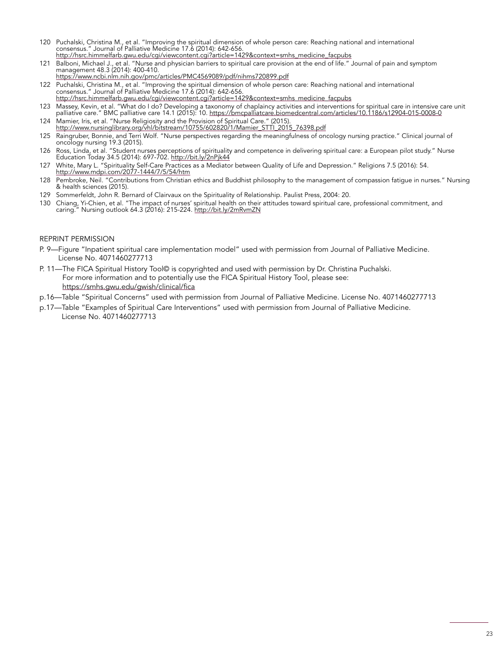- 120 Puchalski, Christina M., et al. "Improving the spiritual dimension of whole person care: Reaching national and international consensus." Journal of Palliative Medicine 17.6 (2014): 642-656.
- http://hsrc.himmelfarb.gwu.edu/cgi/viewcontent.cgi?article=1429&context=smhs\_medicine\_facpubs 121 Balboni, Michael J., et al. "Nurse and physician barriers to spiritual care provision at the end of life." Journal of pain and symptom management 48.3 (2014): 400-410. https://www.ncbi.nlm.nih.gov/pmc/articles/PMC4569089/pdf/nihms720899.pdf
- 122 Puchalski, Christina M., et al. "Improving the spiritual dimension of whole person care: Reaching national and international consensus." Journal of Palliative Medicine 17.6 (2014): 642-656.
- http://hsrc.himmelfarb.gwu.edu/cgi/viewcontent.cgi?article=1429&context=smhs\_medicine\_facpubs 123 Massey, Kevin, et al. "What do I do? Developing a taxonomy of chaplaincy activities and interventions for spiritual care in intensive care unit palliative care." BMC palliative care 14.1 (2015): 10. https://bmcpalliatcare.biomedcentral.com/articles/10.1186/s12904-015-0008-0
- 124 Mamier, Iris, et al. "Nurse Religiosity and the Provision of Spiritual Care." (2015). http://www.nursinglibrary.org/vhl/bitstream/10755/602820/1/Mamier\_STTI\_2015\_76398.pdf
- 125 Raingruber, Bonnie, and Terri Wolf. "Nurse perspectives regarding the meaningfulness of oncology nursing practice." Clinical journal of oncology nursing 19.3 (2015).
- 126 Ross, Linda, et al. "Student nurses perceptions of spirituality and competence in delivering spiritual care: a European pilot study." Nurse Education Today 34.5 (2014): 697-702. http://bit.ly/2nPjk44
- 127 White, Mary L. "Spirituality Self-Care Practices as a Mediator between Quality of Life and Depression." Religions 7.5 (2016): 54. http://www.mdpi.com/2077-1444/7/5/54/htm
- 128 Pembroke, Neil. "Contributions from Christian ethics and Buddhist philosophy to the management of compassion fatigue in nurses." Nursing & health sciences (2015).
- 129 Sommerfeldt, John R. Bernard of Clairvaux on the Spirituality of Relationship. Paulist Press, 2004: 20.
- 130 Chiang, Yi-Chien, et al. "The impact of nurses' spiritual health on their attitudes toward spiritual care, professional commitment, and caring." Nursing outlook 64.3 (2016): 215-224. http://bit.ly/2mRvmZN

#### REPRINT PERMISSION

- P. 9—Figure "Inpatient spiritual care implementation model" used with permission from Journal of Palliative Medicine. License No. 4071460277713
- P. 11—The FICA Spiritual History Tool© is copyrighted and used with permission by Dr. Christina Puchalski. For more information and to potentially use the FICA Spiritual History Tool, please see: https://smhs.gwu.edu/gwish/clinical/fica
- p.16—Table "Spiritual Concerns" used with permission from Journal of Palliative Medicine. License No. 4071460277713
- p.17—Table "Examples of Spiritual Care Interventions" used with permission from Journal of Palliative Medicine. License No. 4071460277713